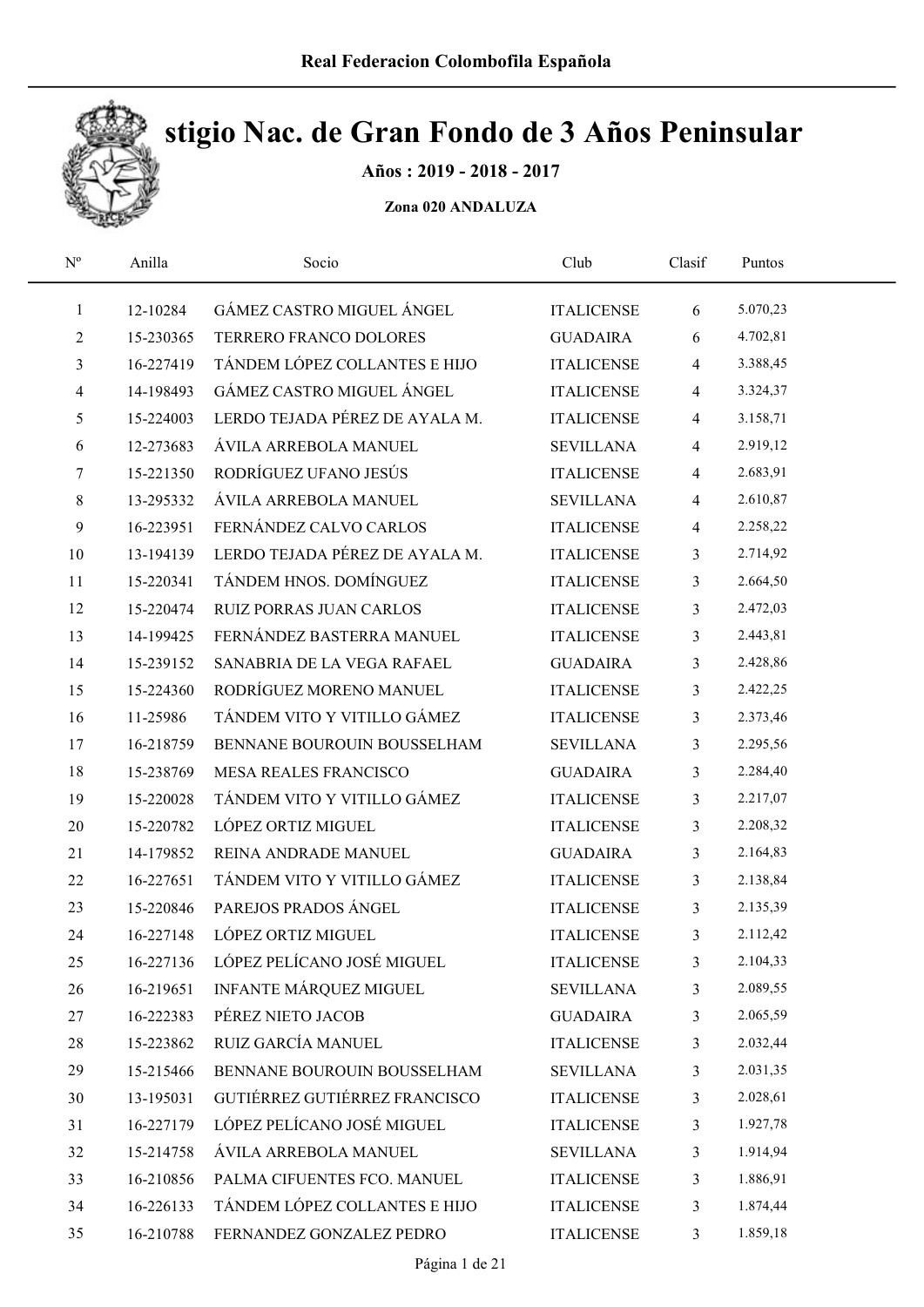

### Años : 2019 - 2018 - 2017

| $\mathbf{N}^{\text{o}}$  | Anilla    | Socio                          | Club              | Clasif         | Puntos   |  |
|--------------------------|-----------|--------------------------------|-------------------|----------------|----------|--|
| $\mathbf{1}$             | 12-10284  | GÁMEZ CASTRO MIGUEL ÁNGEL      | <b>ITALICENSE</b> | 6              | 5.070,23 |  |
| 2                        | 15-230365 | TERRERO FRANCO DOLORES         | <b>GUADAIRA</b>   | 6              | 4.702,81 |  |
| 3                        | 16-227419 | TÁNDEM LÓPEZ COLLANTES E HIJO  | <b>ITALICENSE</b> | $\overline{4}$ | 3.388,45 |  |
| $\overline{\mathcal{A}}$ | 14-198493 | GÁMEZ CASTRO MIGUEL ÁNGEL      | <b>ITALICENSE</b> | 4              | 3.324,37 |  |
| 5                        | 15-224003 | LERDO TEJADA PÉREZ DE AYALA M. | <b>ITALICENSE</b> | $\overline{4}$ | 3.158,71 |  |
| 6                        | 12-273683 | ÁVILA ARREBOLA MANUEL          | <b>SEVILLANA</b>  | 4              | 2.919,12 |  |
| 7                        | 15-221350 | RODRÍGUEZ UFANO JESÚS          | <b>ITALICENSE</b> | $\overline{4}$ | 2.683,91 |  |
| 8                        | 13-295332 | ÁVILA ARREBOLA MANUEL          | <b>SEVILLANA</b>  | $\overline{4}$ | 2.610,87 |  |
| 9                        | 16-223951 | FERNÁNDEZ CALVO CARLOS         | <b>ITALICENSE</b> | 4              | 2.258,22 |  |
| 10                       | 13-194139 | LERDO TEJADA PÉREZ DE AYALA M. | <b>ITALICENSE</b> | $\mathfrak{Z}$ | 2.714,92 |  |
| 11                       | 15-220341 | TÁNDEM HNOS. DOMÍNGUEZ         | <b>ITALICENSE</b> | 3              | 2.664,50 |  |
| 12                       | 15-220474 | <b>RUIZ PORRAS JUAN CARLOS</b> | <b>ITALICENSE</b> | 3              | 2.472,03 |  |
| 13                       | 14-199425 | FERNÁNDEZ BASTERRA MANUEL      | <b>ITALICENSE</b> | 3              | 2.443,81 |  |
| 14                       | 15-239152 | SANABRIA DE LA VEGA RAFAEL     | <b>GUADAIRA</b>   | 3              | 2.428,86 |  |
| 15                       | 15-224360 | RODRÍGUEZ MORENO MANUEL        | <b>ITALICENSE</b> | 3              | 2.422,25 |  |
| 16                       | 11-25986  | TÁNDEM VITO Y VITILLO GÁMEZ    | <b>ITALICENSE</b> | 3              | 2.373,46 |  |
| 17                       | 16-218759 | BENNANE BOUROUIN BOUSSELHAM    | <b>SEVILLANA</b>  | 3              | 2.295,56 |  |
| 18                       | 15-238769 | <b>MESA REALES FRANCISCO</b>   | <b>GUADAIRA</b>   | 3              | 2.284,40 |  |
| 19                       | 15-220028 | TÁNDEM VITO Y VITILLO GÁMEZ    | <b>ITALICENSE</b> | 3              | 2.217,07 |  |
| 20                       | 15-220782 | LÓPEZ ORTIZ MIGUEL             | <b>ITALICENSE</b> | 3              | 2.208,32 |  |
| 21                       | 14-179852 | REINA ANDRADE MANUEL           | <b>GUADAIRA</b>   | 3              | 2.164,83 |  |
| 22                       | 16-227651 | TÁNDEM VITO Y VITILLO GÁMEZ    | <b>ITALICENSE</b> | 3              | 2.138,84 |  |
| 23                       | 15-220846 | PAREJOS PRADOS ÁNGEL           | <b>ITALICENSE</b> | 3              | 2.135,39 |  |
| 24                       | 16-227148 | LÓPEZ ORTIZ MIGUEL             | <b>ITALICENSE</b> | 3              | 2.112,42 |  |
| 25                       | 16-227136 | LÓPEZ PELÍCANO JOSÉ MIGUEL     | <b>ITALICENSE</b> | 3              | 2.104,33 |  |
| 26                       | 16-219651 | <b>INFANTE MÁRQUEZ MIGUEL</b>  | <b>SEVILLANA</b>  | 3              | 2.089,55 |  |
| 27                       | 16-222383 | PÉREZ NIETO JACOB              | <b>GUADAIRA</b>   | 3              | 2.065,59 |  |
| $28\,$                   | 15-223862 | RUIZ GARCÍA MANUEL             | <b>ITALICENSE</b> | 3              | 2.032,44 |  |
| 29                       | 15-215466 | BENNANE BOUROUIN BOUSSELHAM    | <b>SEVILLANA</b>  | 3              | 2.031,35 |  |
| 30                       | 13-195031 | GUTIÉRREZ GUTIÉRREZ FRANCISCO  | <b>ITALICENSE</b> | 3              | 2.028,61 |  |
| 31                       | 16-227179 | LÓPEZ PELÍCANO JOSÉ MIGUEL     | <b>ITALICENSE</b> | 3              | 1.927,78 |  |
| 32                       | 15-214758 | ÁVILA ARREBOLA MANUEL          | <b>SEVILLANA</b>  | 3              | 1.914,94 |  |
| 33                       | 16-210856 | PALMA CIFUENTES FCO. MANUEL    | <b>ITALICENSE</b> | 3              | 1.886,91 |  |
| 34                       | 16-226133 | TÁNDEM LÓPEZ COLLANTES E HIJO  | <b>ITALICENSE</b> | 3              | 1.874,44 |  |
| 35                       | 16-210788 | FERNANDEZ GONZALEZ PEDRO       | <b>ITALICENSE</b> | 3              | 1.859,18 |  |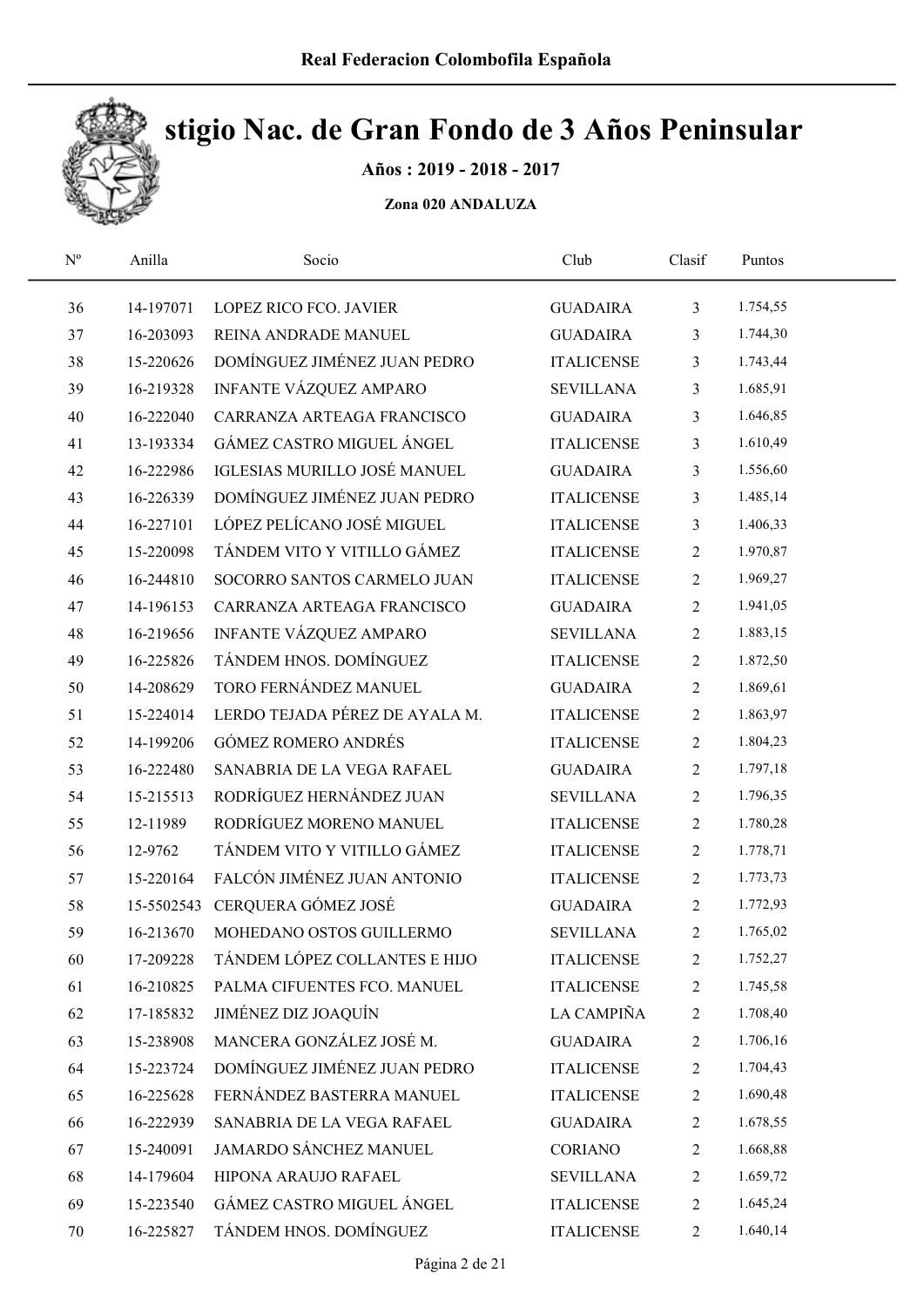

Años : 2019 - 2018 - 2017

| $\mathrm{N}^{\mathrm{o}}$ | Anilla    | Socio                          | Club              | Clasif         | Puntos   |  |
|---------------------------|-----------|--------------------------------|-------------------|----------------|----------|--|
| 36                        | 14-197071 | LOPEZ RICO FCO. JAVIER         | <b>GUADAIRA</b>   | $\mathfrak{Z}$ | 1.754,55 |  |
| 37                        | 16-203093 | REINA ANDRADE MANUEL           | <b>GUADAIRA</b>   | 3              | 1.744,30 |  |
| 38                        | 15-220626 | DOMÍNGUEZ JIMÉNEZ JUAN PEDRO   | <b>ITALICENSE</b> | 3              | 1.743,44 |  |
| 39                        | 16-219328 | INFANTE VÁZQUEZ AMPARO         | <b>SEVILLANA</b>  | 3              | 1.685,91 |  |
| 40                        | 16-222040 | CARRANZA ARTEAGA FRANCISCO     | <b>GUADAIRA</b>   | 3              | 1.646,85 |  |
| 41                        | 13-193334 | GÁMEZ CASTRO MIGUEL ÁNGEL      | <b>ITALICENSE</b> | 3              | 1.610,49 |  |
| 42                        | 16-222986 | IGLESIAS MURILLO JOSÉ MANUEL   | <b>GUADAIRA</b>   | 3              | 1.556,60 |  |
| 43                        | 16-226339 | DOMÍNGUEZ JIMÉNEZ JUAN PEDRO   | <b>ITALICENSE</b> | 3              | 1.485,14 |  |
| 44                        | 16-227101 | LÓPEZ PELÍCANO JOSÉ MIGUEL     | <b>ITALICENSE</b> | 3              | 1.406,33 |  |
| 45                        | 15-220098 | TÁNDEM VITO Y VITILLO GÁMEZ    | <b>ITALICENSE</b> | $\overline{2}$ | 1.970,87 |  |
| 46                        | 16-244810 | SOCORRO SANTOS CARMELO JUAN    | <b>ITALICENSE</b> | $\overline{2}$ | 1.969,27 |  |
| 47                        | 14-196153 | CARRANZA ARTEAGA FRANCISCO     | <b>GUADAIRA</b>   | $\sqrt{2}$     | 1.941,05 |  |
| 48                        | 16-219656 | INFANTE VÁZQUEZ AMPARO         | <b>SEVILLANA</b>  | $\overline{2}$ | 1.883,15 |  |
| 49                        | 16-225826 | TÁNDEM HNOS. DOMÍNGUEZ         | <b>ITALICENSE</b> | $\sqrt{2}$     | 1.872,50 |  |
| 50                        | 14-208629 | TORO FERNÁNDEZ MANUEL          | <b>GUADAIRA</b>   | $\overline{2}$ | 1.869,61 |  |
| 51                        | 15-224014 | LERDO TEJADA PÉREZ DE AYALA M. | <b>ITALICENSE</b> | $\overline{2}$ | 1.863,97 |  |
| 52                        | 14-199206 | <b>GÓMEZ ROMERO ANDRÉS</b>     | <b>ITALICENSE</b> | $\overline{2}$ | 1.804,23 |  |
| 53                        | 16-222480 | SANABRIA DE LA VEGA RAFAEL     | <b>GUADAIRA</b>   | $\overline{2}$ | 1.797,18 |  |
| 54                        | 15-215513 | RODRÍGUEZ HERNÁNDEZ JUAN       | <b>SEVILLANA</b>  | $\overline{c}$ | 1.796,35 |  |
| 55                        | 12-11989  | RODRÍGUEZ MORENO MANUEL        | <b>ITALICENSE</b> | $\sqrt{2}$     | 1.780,28 |  |
| 56                        | 12-9762   | TÁNDEM VITO Y VITILLO GÁMEZ    | <b>ITALICENSE</b> | $\sqrt{2}$     | 1.778,71 |  |
| 57                        | 15-220164 | FALCÓN JIMÉNEZ JUAN ANTONIO    | <b>ITALICENSE</b> | $\overline{2}$ | 1.773,73 |  |
| 58                        |           | 15-5502543 CERQUERA GÓMEZ JOSÉ | <b>GUADAIRA</b>   | $\sqrt{2}$     | 1.772,93 |  |
| 59                        | 16-213670 | MOHEDANO OSTOS GUILLERMO       | <b>SEVILLANA</b>  | $\overline{c}$ | 1.765,02 |  |
| 60                        | 17-209228 | TÁNDEM LÓPEZ COLLANTES E HIJO  | <b>ITALICENSE</b> | 2              | 1.752,27 |  |
| 61                        | 16-210825 | PALMA CIFUENTES FCO. MANUEL    | <b>ITALICENSE</b> | 2              | 1.745,58 |  |
| 62                        | 17-185832 | JIMÉNEZ DIZ JOAQUÍN            | LA CAMPIÑA        | 2              | 1.708,40 |  |
| 63                        | 15-238908 | MANCERA GONZÁLEZ JOSÉ M.       | <b>GUADAIRA</b>   | $\overline{c}$ | 1.706,16 |  |
| 64                        | 15-223724 | DOMÍNGUEZ JIMÉNEZ JUAN PEDRO   | <b>ITALICENSE</b> | 2              | 1.704,43 |  |
| 65                        | 16-225628 | FERNÁNDEZ BASTERRA MANUEL      | <b>ITALICENSE</b> | 2              | 1.690,48 |  |
| 66                        | 16-222939 | SANABRIA DE LA VEGA RAFAEL     | <b>GUADAIRA</b>   | $\overline{c}$ | 1.678,55 |  |
| 67                        | 15-240091 | JAMARDO SÁNCHEZ MANUEL         | CORIANO           | 2              | 1.668,88 |  |
| 68                        | 14-179604 | HIPONA ARAUJO RAFAEL           | <b>SEVILLANA</b>  | 2              | 1.659,72 |  |
| 69                        | 15-223540 | GÁMEZ CASTRO MIGUEL ÁNGEL      | <b>ITALICENSE</b> | $\sqrt{2}$     | 1.645,24 |  |
| 70                        | 16-225827 | TÁNDEM HNOS. DOMÍNGUEZ         | <b>ITALICENSE</b> | $\overline{2}$ | 1.640,14 |  |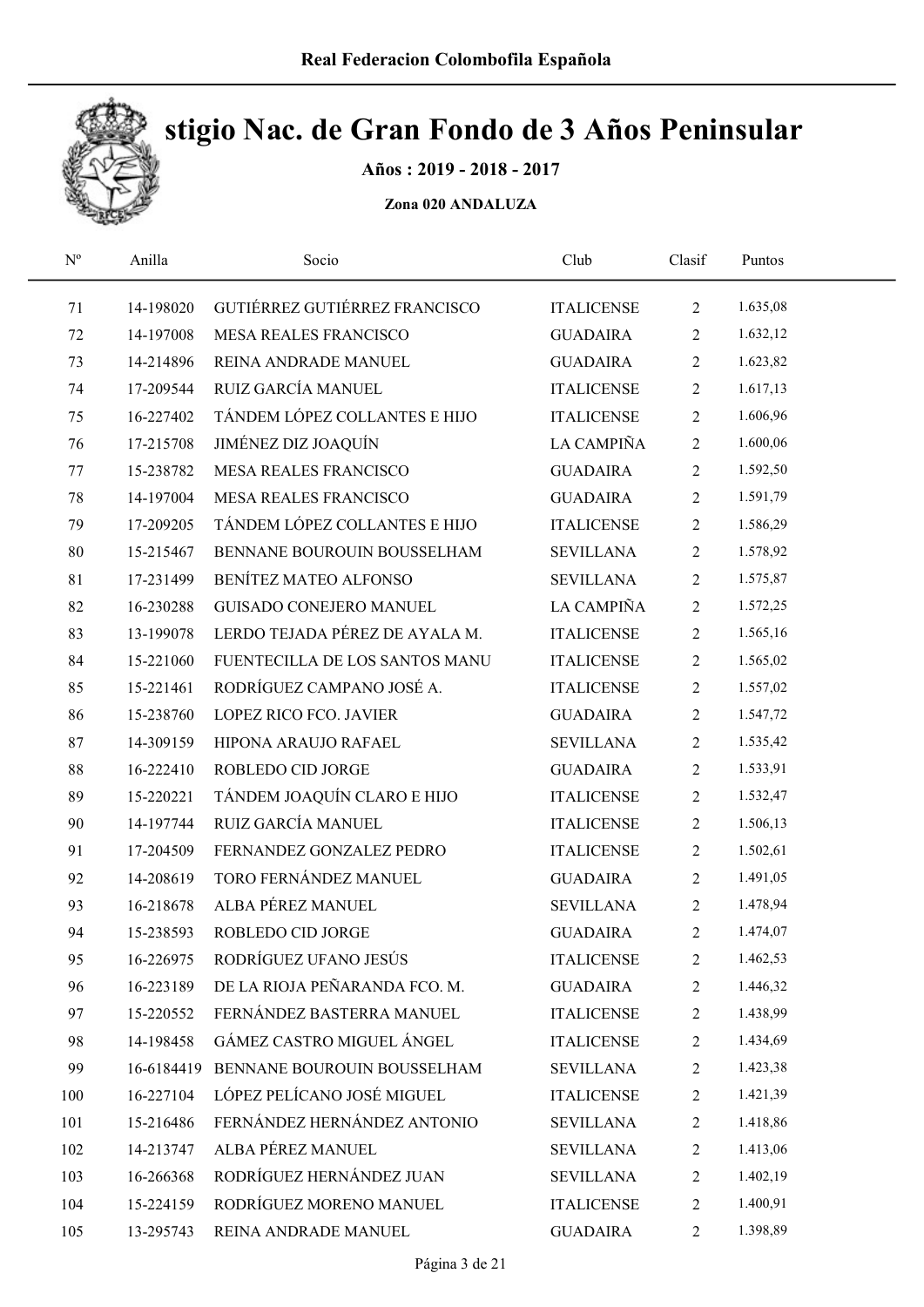

Años : 2019 - 2018 - 2017

| $N^{\rm o}$ | Anilla     | Socio                          | Club              | Clasif         | Puntos   |  |
|-------------|------------|--------------------------------|-------------------|----------------|----------|--|
| 71          | 14-198020  | GUTIÉRREZ GUTIÉRREZ FRANCISCO  | <b>ITALICENSE</b> | $\overline{2}$ | 1.635,08 |  |
| 72          | 14-197008  | <b>MESA REALES FRANCISCO</b>   | <b>GUADAIRA</b>   | 2              | 1.632,12 |  |
| 73          | 14-214896  | REINA ANDRADE MANUEL           | <b>GUADAIRA</b>   | $\overline{2}$ | 1.623,82 |  |
| 74          | 17-209544  | RUIZ GARCÍA MANUEL             | <b>ITALICENSE</b> | $\overline{2}$ | 1.617,13 |  |
| 75          | 16-227402  | TÁNDEM LÓPEZ COLLANTES E HIJO  | <b>ITALICENSE</b> | $\overline{2}$ | 1.606,96 |  |
| 76          | 17-215708  | JIMÉNEZ DIZ JOAQUÍN            | LA CAMPIÑA        | $\overline{2}$ | 1.600,06 |  |
| 77          | 15-238782  | <b>MESA REALES FRANCISCO</b>   | <b>GUADAIRA</b>   | $\overline{2}$ | 1.592,50 |  |
| 78          | 14-197004  | <b>MESA REALES FRANCISCO</b>   | <b>GUADAIRA</b>   | $\overline{2}$ | 1.591,79 |  |
| 79          | 17-209205  | TÁNDEM LÓPEZ COLLANTES E HIJO  | <b>ITALICENSE</b> | $\overline{2}$ | 1.586,29 |  |
| 80          | 15-215467  | BENNANE BOUROUIN BOUSSELHAM    | <b>SEVILLANA</b>  | $\overline{2}$ | 1.578,92 |  |
| 81          | 17-231499  | BENÍTEZ MATEO ALFONSO          | <b>SEVILLANA</b>  | $\overline{2}$ | 1.575,87 |  |
| 82          | 16-230288  | <b>GUISADO CONEJERO MANUEL</b> | LA CAMPIÑA        | $\overline{2}$ | 1.572,25 |  |
| 83          | 13-199078  | LERDO TEJADA PÉREZ DE AYALA M. | <b>ITALICENSE</b> | $\overline{2}$ | 1.565,16 |  |
| 84          | 15-221060  | FUENTECILLA DE LOS SANTOS MANU | <b>ITALICENSE</b> | $\overline{2}$ | 1.565,02 |  |
| 85          | 15-221461  | RODRÍGUEZ CAMPANO JOSÉ A.      | <b>ITALICENSE</b> | $\overline{2}$ | 1.557,02 |  |
| 86          | 15-238760  | LOPEZ RICO FCO. JAVIER         | <b>GUADAIRA</b>   | $\overline{2}$ | 1.547,72 |  |
| 87          | 14-309159  | HIPONA ARAUJO RAFAEL           | <b>SEVILLANA</b>  | $\overline{2}$ | 1.535,42 |  |
| 88          | 16-222410  | ROBLEDO CID JORGE              | <b>GUADAIRA</b>   | $\overline{2}$ | 1.533,91 |  |
| 89          | 15-220221  | TÁNDEM JOAQUÍN CLARO E HIJO    | <b>ITALICENSE</b> | $\overline{2}$ | 1.532,47 |  |
| 90          | 14-197744  | RUIZ GARCÍA MANUEL             | <b>ITALICENSE</b> | 2              | 1.506,13 |  |
| 91          | 17-204509  | FERNANDEZ GONZALEZ PEDRO       | <b>ITALICENSE</b> | $\overline{2}$ | 1.502,61 |  |
| 92          | 14-208619  | TORO FERNÁNDEZ MANUEL          | <b>GUADAIRA</b>   | $\overline{2}$ | 1.491,05 |  |
| 93          | 16-218678  | ALBA PÉREZ MANUEL              | <b>SEVILLANA</b>  | $\overline{2}$ | 1.478,94 |  |
| 94          | 15-238593  | ROBLEDO CID JORGE              | <b>GUADAIRA</b>   | $\overline{2}$ | 1.474,07 |  |
| 95          | 16-226975  | RODRÍGUEZ UFANO JESÚS          | <b>ITALICENSE</b> | 2              | 1.462,53 |  |
| 96          | 16-223189  | DE LA RIOJA PEÑARANDA FCO. M.  | <b>GUADAIRA</b>   | $\overline{c}$ | 1.446,32 |  |
| 97          | 15-220552  | FERNÁNDEZ BASTERRA MANUEL      | <b>ITALICENSE</b> | 2              | 1.438,99 |  |
| 98          | 14-198458  | GÁMEZ CASTRO MIGUEL ÁNGEL      | <b>ITALICENSE</b> | $\overline{c}$ | 1.434,69 |  |
| 99          | 16-6184419 | BENNANE BOUROUIN BOUSSELHAM    | <b>SEVILLANA</b>  | $\overline{c}$ | 1.423,38 |  |
| 100         | 16-227104  | LÓPEZ PELÍCANO JOSÉ MIGUEL     | <b>ITALICENSE</b> | 2              | 1.421,39 |  |
| 101         | 15-216486  | FERNÁNDEZ HERNÁNDEZ ANTONIO    | <b>SEVILLANA</b>  | $\overline{c}$ | 1.418,86 |  |
| 102         | 14-213747  | ALBA PÉREZ MANUEL              | <b>SEVILLANA</b>  | 2              | 1.413,06 |  |
| 103         | 16-266368  | RODRÍGUEZ HERNÁNDEZ JUAN       | <b>SEVILLANA</b>  | $\overline{2}$ | 1.402,19 |  |
| 104         | 15-224159  | RODRÍGUEZ MORENO MANUEL        | <b>ITALICENSE</b> | 2              | 1.400,91 |  |
| 105         | 13-295743  | REINA ANDRADE MANUEL           | <b>GUADAIRA</b>   | $\overline{2}$ | 1.398,89 |  |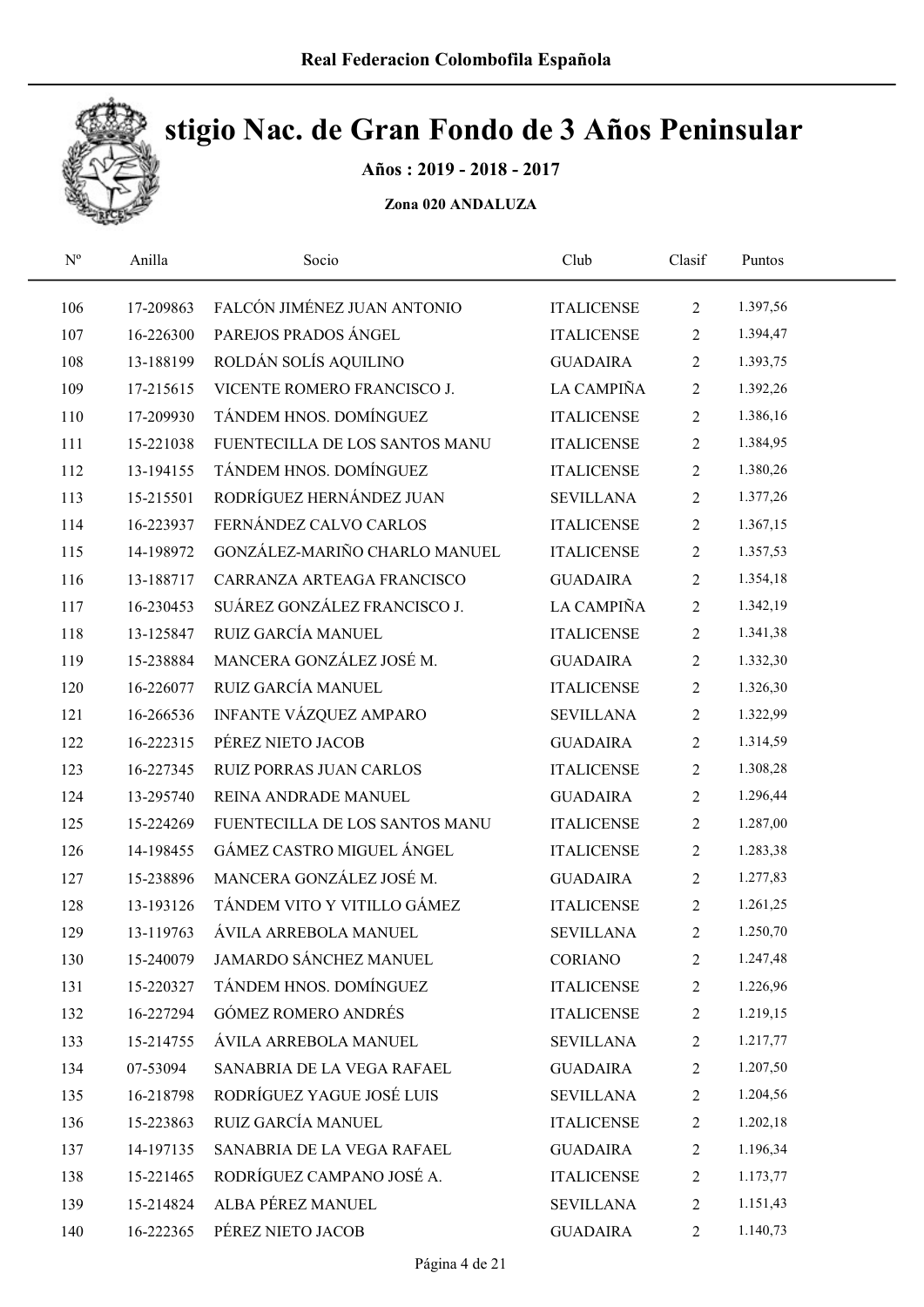

Años : 2019 - 2018 - 2017

| $\mathbf{N}^{\text{o}}$ | Anilla    | Socio                          | Club              | Clasif         | Puntos   |  |
|-------------------------|-----------|--------------------------------|-------------------|----------------|----------|--|
| 106                     | 17-209863 | FALCÓN JIMÉNEZ JUAN ANTONIO    | <b>ITALICENSE</b> | 2              | 1.397,56 |  |
| 107                     | 16-226300 | PAREJOS PRADOS ÁNGEL           | <b>ITALICENSE</b> | $\overline{2}$ | 1.394,47 |  |
| 108                     | 13-188199 | ROLDÁN SOLÍS AQUILINO          | <b>GUADAIRA</b>   | $\overline{2}$ | 1.393,75 |  |
| 109                     | 17-215615 | VICENTE ROMERO FRANCISCO J.    | LA CAMPIÑA        | $\overline{2}$ | 1.392,26 |  |
| 110                     | 17-209930 | TÁNDEM HNOS. DOMÍNGUEZ         | <b>ITALICENSE</b> | $\overline{2}$ | 1.386,16 |  |
| 111                     | 15-221038 | FUENTECILLA DE LOS SANTOS MANU | <b>ITALICENSE</b> | $\overline{2}$ | 1.384,95 |  |
| 112                     | 13-194155 | TÁNDEM HNOS. DOMÍNGUEZ         | <b>ITALICENSE</b> | $\overline{2}$ | 1.380,26 |  |
| 113                     | 15-215501 | RODRÍGUEZ HERNÁNDEZ JUAN       | <b>SEVILLANA</b>  | $\overline{2}$ | 1.377,26 |  |
| 114                     | 16-223937 | FERNÁNDEZ CALVO CARLOS         | <b>ITALICENSE</b> | $\overline{2}$ | 1.367,15 |  |
| 115                     | 14-198972 | GONZÁLEZ-MARIÑO CHARLO MANUEL  | <b>ITALICENSE</b> | $\overline{2}$ | 1.357,53 |  |
| 116                     | 13-188717 | CARRANZA ARTEAGA FRANCISCO     | <b>GUADAIRA</b>   | $\overline{2}$ | 1.354,18 |  |
| 117                     | 16-230453 | SUÁREZ GONZÁLEZ FRANCISCO J.   | LA CAMPIÑA        | $\overline{2}$ | 1.342,19 |  |
| 118                     | 13-125847 | RUIZ GARCÍA MANUEL             | <b>ITALICENSE</b> | $2\,$          | 1.341,38 |  |
| 119                     | 15-238884 | MANCERA GONZÁLEZ JOSÉ M.       | <b>GUADAIRA</b>   | $\overline{2}$ | 1.332,30 |  |
| 120                     | 16-226077 | RUIZ GARCÍA MANUEL             | <b>ITALICENSE</b> | $\overline{2}$ | 1.326,30 |  |
| 121                     | 16-266536 | INFANTE VÁZQUEZ AMPARO         | <b>SEVILLANA</b>  | $\overline{2}$ | 1.322,99 |  |
| 122                     | 16-222315 | PÉREZ NIETO JACOB              | <b>GUADAIRA</b>   | $\overline{2}$ | 1.314,59 |  |
| 123                     | 16-227345 | RUIZ PORRAS JUAN CARLOS        | <b>ITALICENSE</b> | $\overline{2}$ | 1.308,28 |  |
| 124                     | 13-295740 | REINA ANDRADE MANUEL           | <b>GUADAIRA</b>   | $\overline{2}$ | 1.296,44 |  |
| 125                     | 15-224269 | FUENTECILLA DE LOS SANTOS MANU | <b>ITALICENSE</b> | $\overline{2}$ | 1.287,00 |  |
| 126                     | 14-198455 | GÁMEZ CASTRO MIGUEL ÁNGEL      | <b>ITALICENSE</b> | $\overline{2}$ | 1.283,38 |  |
| 127                     | 15-238896 | MANCERA GONZÁLEZ JOSÉ M.       | <b>GUADAIRA</b>   | $\overline{2}$ | 1.277,83 |  |
| 128                     | 13-193126 | TÁNDEM VITO Y VITILLO GÁMEZ    | <b>ITALICENSE</b> | $\overline{2}$ | 1.261,25 |  |
| 129                     | 13-119763 | ÁVILA ARREBOLA MANUEL          | <b>SEVILLANA</b>  | $\mathbf{2}$   | 1.250,70 |  |
| 130                     | 15-240079 | <b>JAMARDO SÁNCHEZ MANUEL</b>  | <b>CORIANO</b>    | $\overline{2}$ | 1.247,48 |  |
| 131                     | 15-220327 | TÁNDEM HNOS. DOMÍNGUEZ         | <b>ITALICENSE</b> | $\overline{c}$ | 1.226,96 |  |
| 132                     | 16-227294 | <b>GÓMEZ ROMERO ANDRÉS</b>     | <b>ITALICENSE</b> | $\overline{c}$ | 1.219,15 |  |
| 133                     | 15-214755 | ÁVILA ARREBOLA MANUEL          | <b>SEVILLANA</b>  | 2              | 1.217,77 |  |
| 134                     | 07-53094  | SANABRIA DE LA VEGA RAFAEL     | <b>GUADAIRA</b>   | 2              | 1.207,50 |  |
| 135                     | 16-218798 | RODRÍGUEZ YAGUE JOSÉ LUIS      | <b>SEVILLANA</b>  | 2              | 1.204,56 |  |
| 136                     | 15-223863 | RUIZ GARCÍA MANUEL             | <b>ITALICENSE</b> | $\mathbf{2}$   | 1.202,18 |  |
| 137                     | 14-197135 | SANABRIA DE LA VEGA RAFAEL     | <b>GUADAIRA</b>   | $\overline{2}$ | 1.196,34 |  |
| 138                     | 15-221465 | RODRÍGUEZ CAMPANO JOSÉ A.      | <b>ITALICENSE</b> | $\mathbf{2}$   | 1.173,77 |  |
| 139                     | 15-214824 | ALBA PÉREZ MANUEL              | <b>SEVILLANA</b>  | $\overline{2}$ | 1.151,43 |  |
| 140                     | 16-222365 | PÉREZ NIETO JACOB              | <b>GUADAIRA</b>   | $\overline{2}$ | 1.140,73 |  |
|                         |           |                                |                   |                |          |  |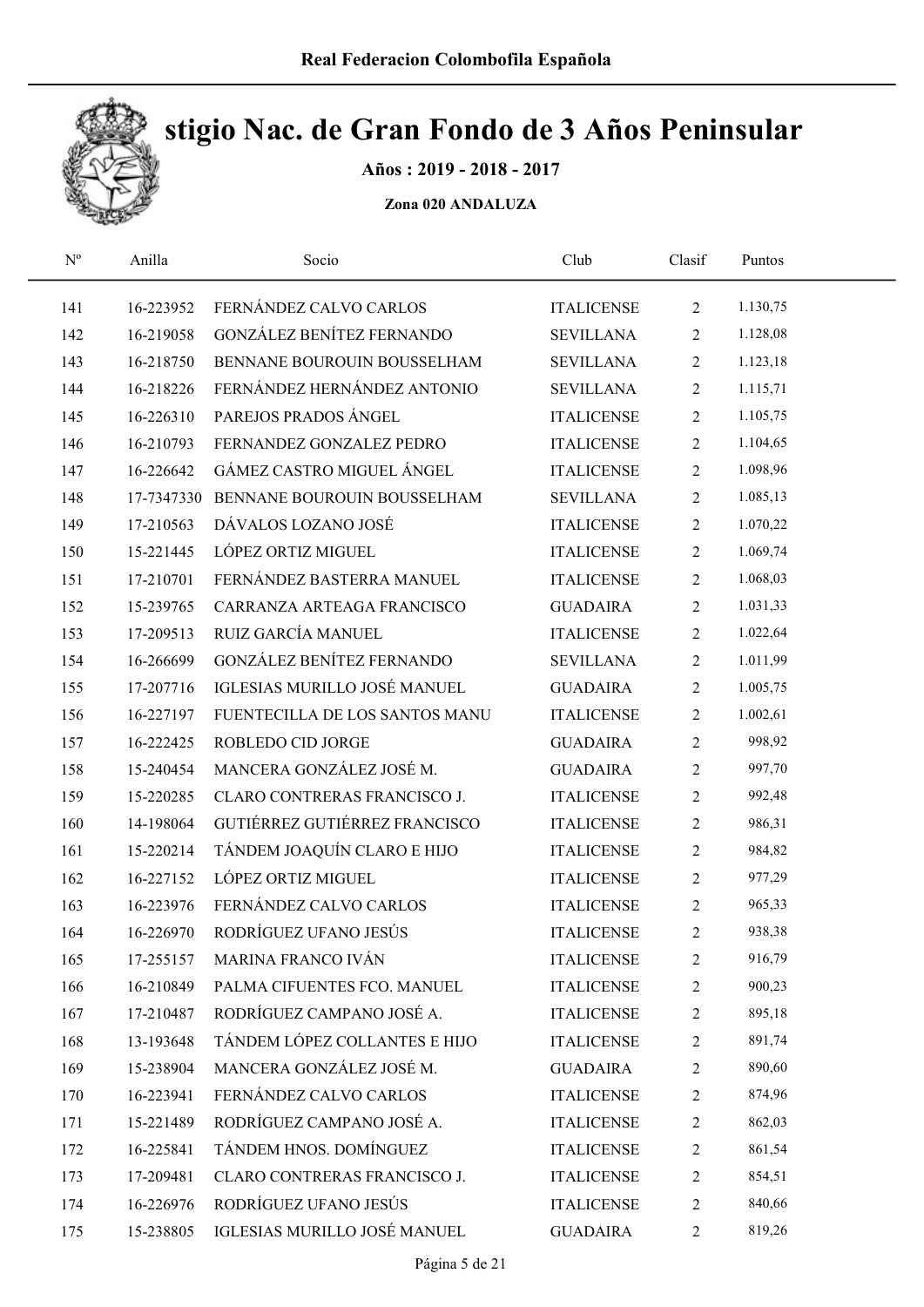

Años : 2019 - 2018 - 2017

| $N^{\rm o}$ | Anilla    | Socio                                  | Club              | Clasif         | Puntos   |  |
|-------------|-----------|----------------------------------------|-------------------|----------------|----------|--|
| 141         | 16-223952 | FERNÁNDEZ CALVO CARLOS                 | <b>ITALICENSE</b> | $\overline{2}$ | 1.130,75 |  |
| 142         | 16-219058 | GONZÁLEZ BENÍTEZ FERNANDO              | <b>SEVILLANA</b>  | $\overline{2}$ | 1.128,08 |  |
| 143         | 16-218750 | BENNANE BOUROUIN BOUSSELHAM            | <b>SEVILLANA</b>  | $\overline{2}$ | 1.123,18 |  |
| 144         | 16-218226 | FERNÁNDEZ HERNÁNDEZ ANTONIO            | <b>SEVILLANA</b>  | $\overline{2}$ | 1.115,71 |  |
| 145         | 16-226310 | PAREJOS PRADOS ÁNGEL                   | <b>ITALICENSE</b> | $\overline{2}$ | 1.105,75 |  |
| 146         | 16-210793 | FERNANDEZ GONZALEZ PEDRO               | <b>ITALICENSE</b> | $\overline{2}$ | 1.104,65 |  |
| 147         | 16-226642 | GÁMEZ CASTRO MIGUEL ÁNGEL              | <b>ITALICENSE</b> | $\overline{2}$ | 1.098,96 |  |
| 148         |           | 17-7347330 BENNANE BOUROUIN BOUSSELHAM | <b>SEVILLANA</b>  | $\overline{2}$ | 1.085,13 |  |
| 149         | 17-210563 | DÁVALOS LOZANO JOSÉ                    | <b>ITALICENSE</b> | $\overline{2}$ | 1.070,22 |  |
| 150         | 15-221445 | LÓPEZ ORTIZ MIGUEL                     | <b>ITALICENSE</b> | $\overline{2}$ | 1.069,74 |  |
| 151         | 17-210701 | FERNÁNDEZ BASTERRA MANUEL              | <b>ITALICENSE</b> | $\overline{2}$ | 1.068,03 |  |
| 152         | 15-239765 | CARRANZA ARTEAGA FRANCISCO             | <b>GUADAIRA</b>   | $\overline{2}$ | 1.031,33 |  |
| 153         | 17-209513 | RUIZ GARCÍA MANUEL                     | <b>ITALICENSE</b> | $\overline{2}$ | 1.022,64 |  |
| 154         | 16-266699 | GONZÁLEZ BENÍTEZ FERNANDO              | <b>SEVILLANA</b>  | $\overline{2}$ | 1.011,99 |  |
| 155         | 17-207716 | IGLESIAS MURILLO JOSÉ MANUEL           | <b>GUADAIRA</b>   | $\overline{2}$ | 1.005,75 |  |
| 156         | 16-227197 | FUENTECILLA DE LOS SANTOS MANU         | <b>ITALICENSE</b> | $\overline{2}$ | 1.002,61 |  |
| 157         | 16-222425 | ROBLEDO CID JORGE                      | <b>GUADAIRA</b>   | $\overline{2}$ | 998,92   |  |
| 158         | 15-240454 | MANCERA GONZÁLEZ JOSÉ M.               | <b>GUADAIRA</b>   | $\overline{2}$ | 997,70   |  |
| 159         | 15-220285 | CLARO CONTRERAS FRANCISCO J.           | <b>ITALICENSE</b> | $\overline{c}$ | 992,48   |  |
| 160         | 14-198064 | GUTIÉRREZ GUTIÉRREZ FRANCISCO          | <b>ITALICENSE</b> | $\overline{c}$ | 986,31   |  |
| 161         | 15-220214 | TÁNDEM JOAQUÍN CLARO E HIJO            | <b>ITALICENSE</b> | $\overline{2}$ | 984,82   |  |
| 162         | 16-227152 | LÓPEZ ORTIZ MIGUEL                     | <b>ITALICENSE</b> | $\overline{2}$ | 977,29   |  |
| 163         | 16-223976 | FERNÁNDEZ CALVO CARLOS                 | <b>ITALICENSE</b> | $\sqrt{2}$     | 965,33   |  |
| 164         | 16-226970 | RODRÍGUEZ UFANO JESÚS                  | <b>ITALICENSE</b> | $\overline{c}$ | 938,38   |  |
| 165         | 17-255157 | MARINA FRANCO IVÁN                     | <b>ITALICENSE</b> | 2              | 916,79   |  |
| 166         | 16-210849 | PALMA CIFUENTES FCO. MANUEL            | <b>ITALICENSE</b> | 2              | 900,23   |  |
| 167         | 17-210487 | RODRÍGUEZ CAMPANO JOSÉ A.              | <b>ITALICENSE</b> | 2              | 895,18   |  |
| 168         | 13-193648 | TÁNDEM LÓPEZ COLLANTES E HIJO          | <b>ITALICENSE</b> | 2              | 891,74   |  |
| 169         | 15-238904 | MANCERA GONZÁLEZ JOSÉ M.               | <b>GUADAIRA</b>   | 2              | 890,60   |  |
| 170         | 16-223941 | FERNÁNDEZ CALVO CARLOS                 | <b>ITALICENSE</b> | 2              | 874,96   |  |
| 171         | 15-221489 | RODRÍGUEZ CAMPANO JOSÉ A.              | <b>ITALICENSE</b> | 2              | 862,03   |  |
| 172         | 16-225841 | TÁNDEM HNOS. DOMÍNGUEZ                 | <b>ITALICENSE</b> | 2              | 861,54   |  |
| 173         | 17-209481 | CLARO CONTRERAS FRANCISCO J.           | <b>ITALICENSE</b> | 2              | 854,51   |  |
| 174         | 16-226976 | RODRÍGUEZ UFANO JESÚS                  | <b>ITALICENSE</b> | 2              | 840,66   |  |
| 175         | 15-238805 | IGLESIAS MURILLO JOSÉ MANUEL           | <b>GUADAIRA</b>   | $\overline{2}$ | 819,26   |  |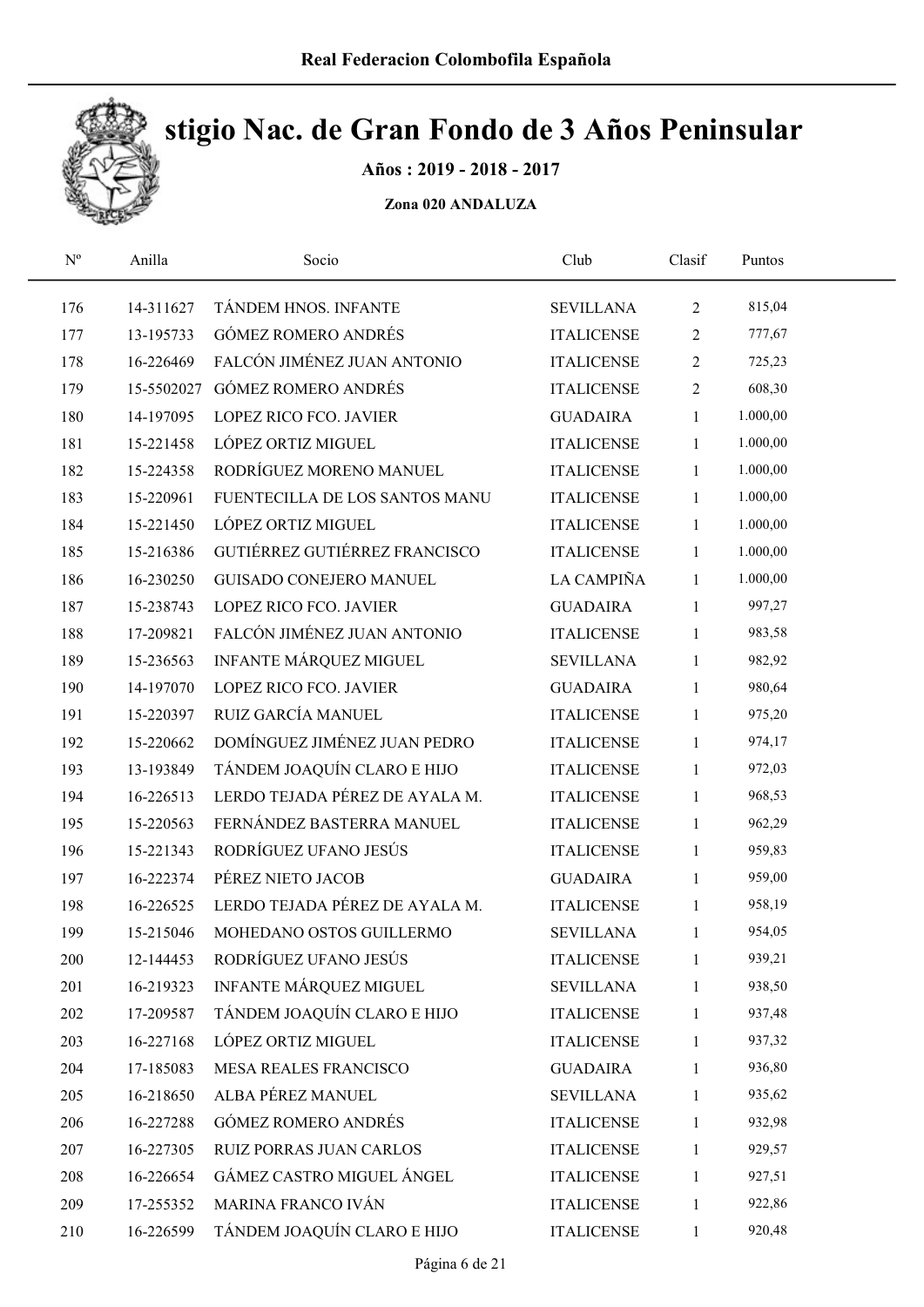

Años : 2019 - 2018 - 2017

| $\mathbf{N}^{\text{o}}$ | Anilla    | Socio                          | Club              | Clasif         | Puntos   |  |
|-------------------------|-----------|--------------------------------|-------------------|----------------|----------|--|
| 176                     | 14-311627 | TÁNDEM HNOS. INFANTE           | <b>SEVILLANA</b>  | $\overline{2}$ | 815,04   |  |
| 177                     | 13-195733 | <b>GÓMEZ ROMERO ANDRÉS</b>     | <b>ITALICENSE</b> | $\sqrt{2}$     | 777,67   |  |
| 178                     | 16-226469 | FALCÓN JIMÉNEZ JUAN ANTONIO    | <b>ITALICENSE</b> | $\overline{c}$ | 725,23   |  |
| 179                     |           | 15-5502027 GÓMEZ ROMERO ANDRÉS | <b>ITALICENSE</b> | $\overline{2}$ | 608,30   |  |
| 180                     | 14-197095 | LOPEZ RICO FCO. JAVIER         | <b>GUADAIRA</b>   | 1              | 1.000,00 |  |
| 181                     | 15-221458 | LÓPEZ ORTIZ MIGUEL             | <b>ITALICENSE</b> | $\mathbf{1}$   | 1.000,00 |  |
| 182                     | 15-224358 | RODRÍGUEZ MORENO MANUEL        | <b>ITALICENSE</b> | 1              | 1.000,00 |  |
| 183                     | 15-220961 | FUENTECILLA DE LOS SANTOS MANU | <b>ITALICENSE</b> | $\mathbf{1}$   | 1.000,00 |  |
| 184                     | 15-221450 | LÓPEZ ORTIZ MIGUEL             | <b>ITALICENSE</b> | $\mathbf{1}$   | 1.000,00 |  |
| 185                     | 15-216386 | GUTIÉRREZ GUTIÉRREZ FRANCISCO  | <b>ITALICENSE</b> | $\mathbf{1}$   | 1.000,00 |  |
| 186                     | 16-230250 | <b>GUISADO CONEJERO MANUEL</b> | LA CAMPIÑA        | $\mathbf{1}$   | 1.000,00 |  |
| 187                     | 15-238743 | <b>LOPEZ RICO FCO. JAVIER</b>  | <b>GUADAIRA</b>   | $\mathbf{1}$   | 997,27   |  |
| 188                     | 17-209821 | FALCÓN JIMÉNEZ JUAN ANTONIO    | <b>ITALICENSE</b> | $\mathbf{1}$   | 983,58   |  |
| 189                     | 15-236563 | <b>INFANTE MÁRQUEZ MIGUEL</b>  | <b>SEVILLANA</b>  | $\mathbf{1}$   | 982,92   |  |
| 190                     | 14-197070 | LOPEZ RICO FCO. JAVIER         | <b>GUADAIRA</b>   | 1              | 980,64   |  |
| 191                     | 15-220397 | RUIZ GARCÍA MANUEL             | <b>ITALICENSE</b> | 1              | 975,20   |  |
| 192                     | 15-220662 | DOMÍNGUEZ JIMÉNEZ JUAN PEDRO   | <b>ITALICENSE</b> | 1              | 974,17   |  |
| 193                     | 13-193849 | TÁNDEM JOAQUÍN CLARO E HIJO    | <b>ITALICENSE</b> | 1              | 972,03   |  |
| 194                     | 16-226513 | LERDO TEJADA PÉREZ DE AYALA M. | <b>ITALICENSE</b> | 1              | 968,53   |  |
| 195                     | 15-220563 | FERNÁNDEZ BASTERRA MANUEL      | <b>ITALICENSE</b> | 1              | 962,29   |  |
| 196                     | 15-221343 | RODRÍGUEZ UFANO JESÚS          | <b>ITALICENSE</b> | $\mathbf{1}$   | 959,83   |  |
| 197                     | 16-222374 | PÉREZ NIETO JACOB              | <b>GUADAIRA</b>   | 1              | 959,00   |  |
| 198                     | 16-226525 | LERDO TEJADA PÉREZ DE AYALA M. | <b>ITALICENSE</b> | $\mathbf{1}$   | 958,19   |  |
| 199                     | 15-215046 | MOHEDANO OSTOS GUILLERMO       | <b>SEVILLANA</b>  | $\mathbf{1}$   | 954,05   |  |
| 200                     | 12-144453 | RODRÍGUEZ UFANO JESÚS          | <b>ITALICENSE</b> | 1              | 939,21   |  |
| 201                     | 16-219323 | INFANTE MÁRQUEZ MIGUEL         | <b>SEVILLANA</b>  | 1              | 938,50   |  |
| 202                     | 17-209587 | TÁNDEM JOAQUÍN CLARO E HIJO    | <b>ITALICENSE</b> | 1              | 937,48   |  |
| 203                     | 16-227168 | LÓPEZ ORTIZ MIGUEL             | <b>ITALICENSE</b> | $\mathbf{1}$   | 937,32   |  |
| 204                     | 17-185083 | MESA REALES FRANCISCO          | <b>GUADAIRA</b>   | 1              | 936,80   |  |
| 205                     | 16-218650 | ALBA PÉREZ MANUEL              | <b>SEVILLANA</b>  | 1              | 935,62   |  |
| 206                     | 16-227288 | <b>GÓMEZ ROMERO ANDRÉS</b>     | <b>ITALICENSE</b> | $\mathbf{1}$   | 932,98   |  |
| 207                     | 16-227305 | RUIZ PORRAS JUAN CARLOS        | <b>ITALICENSE</b> | 1              | 929,57   |  |
| 208                     | 16-226654 | GÁMEZ CASTRO MIGUEL ÁNGEL      | <b>ITALICENSE</b> | 1              | 927,51   |  |
| 209                     | 17-255352 | MARINA FRANCO IVÁN             | <b>ITALICENSE</b> | 1              | 922,86   |  |
| 210                     | 16-226599 | TÁNDEM JOAQUÍN CLARO E HIJO    | <b>ITALICENSE</b> | $\mathbf{1}$   | 920,48   |  |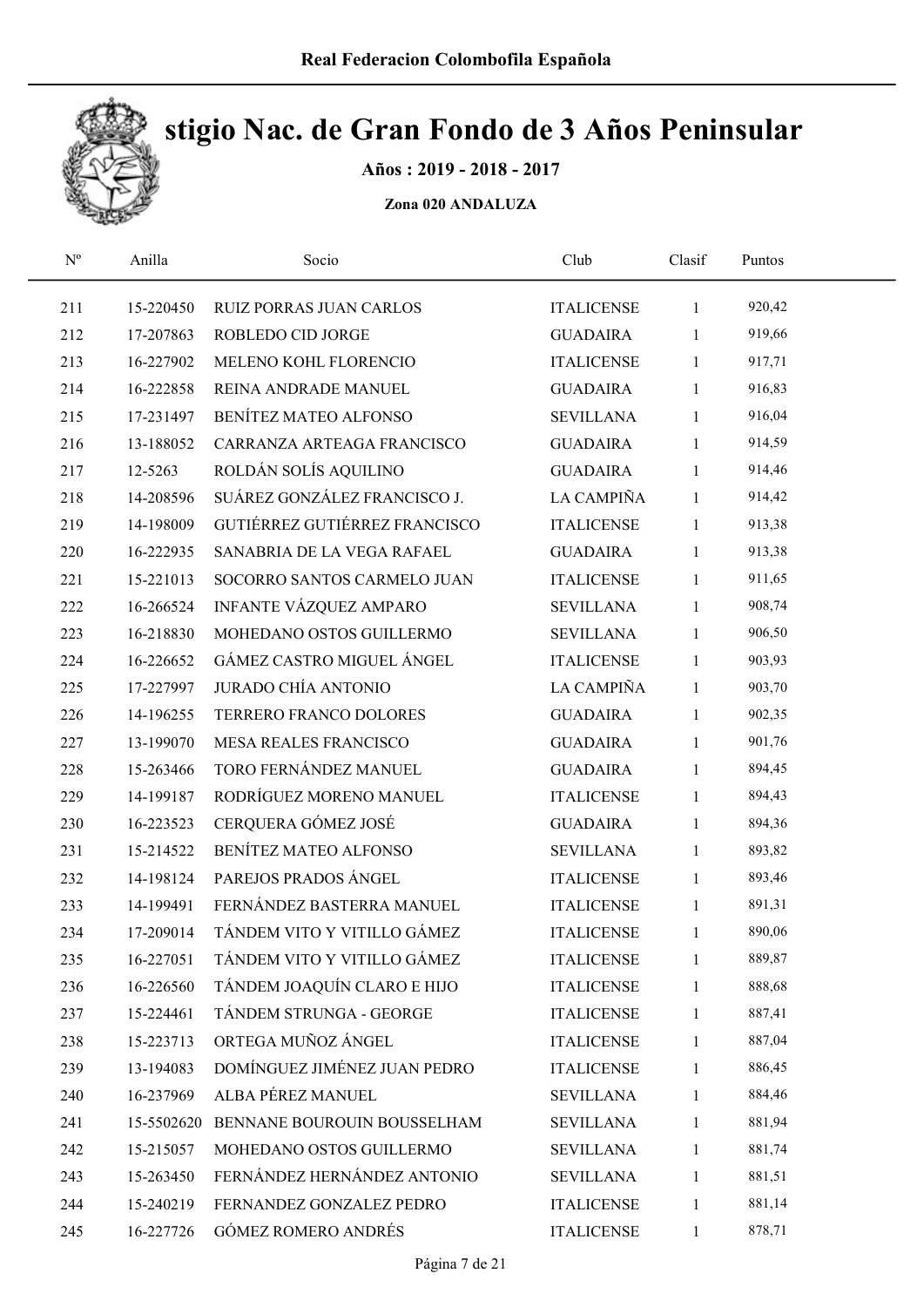

Años : 2019 - 2018 - 2017

| $\mathbf{N}^{\text{o}}$ | Anilla     | Socio                          | Club              | Clasif       | Puntos |  |
|-------------------------|------------|--------------------------------|-------------------|--------------|--------|--|
| 211                     | 15-220450  | <b>RUIZ PORRAS JUAN CARLOS</b> | <b>ITALICENSE</b> | $\mathbf{1}$ | 920,42 |  |
| 212                     | 17-207863  | ROBLEDO CID JORGE              | <b>GUADAIRA</b>   | $\mathbf{1}$ | 919,66 |  |
| 213                     | 16-227902  | MELENO KOHL FLORENCIO          | <b>ITALICENSE</b> | $\mathbf{1}$ | 917,71 |  |
| 214                     | 16-222858  | REINA ANDRADE MANUEL           | <b>GUADAIRA</b>   | $\mathbf{1}$ | 916,83 |  |
| 215                     | 17-231497  | BENÍTEZ MATEO ALFONSO          | <b>SEVILLANA</b>  | $\mathbf{1}$ | 916,04 |  |
| 216                     | 13-188052  | CARRANZA ARTEAGA FRANCISCO     | <b>GUADAIRA</b>   | $\mathbf{1}$ | 914,59 |  |
| 217                     | 12-5263    | ROLDÁN SOLÍS AQUILINO          | <b>GUADAIRA</b>   | $\mathbf{1}$ | 914,46 |  |
| 218                     | 14-208596  | SUÁREZ GONZÁLEZ FRANCISCO J.   | LA CAMPIÑA        | $\mathbf{1}$ | 914,42 |  |
| 219                     | 14-198009  | GUTIÉRREZ GUTIÉRREZ FRANCISCO  | <b>ITALICENSE</b> | $\mathbf{1}$ | 913,38 |  |
| 220                     | 16-222935  | SANABRIA DE LA VEGA RAFAEL     | <b>GUADAIRA</b>   | $\mathbf{1}$ | 913,38 |  |
| 221                     | 15-221013  | SOCORRO SANTOS CARMELO JUAN    | <b>ITALICENSE</b> | $\mathbf{1}$ | 911,65 |  |
| 222                     | 16-266524  | <b>INFANTE VÁZQUEZ AMPARO</b>  | <b>SEVILLANA</b>  | $\mathbf{1}$ | 908,74 |  |
| 223                     | 16-218830  | MOHEDANO OSTOS GUILLERMO       | <b>SEVILLANA</b>  | $\mathbf{1}$ | 906,50 |  |
| 224                     | 16-226652  | GÁMEZ CASTRO MIGUEL ÁNGEL      | <b>ITALICENSE</b> | $\mathbf{1}$ | 903,93 |  |
| 225                     | 17-227997  | <b>JURADO CHÍA ANTONIO</b>     | LA CAMPIÑA        | $\mathbf{1}$ | 903,70 |  |
| 226                     | 14-196255  | TERRERO FRANCO DOLORES         | <b>GUADAIRA</b>   | $\mathbf{1}$ | 902,35 |  |
| 227                     | 13-199070  | MESA REALES FRANCISCO          | <b>GUADAIRA</b>   | $\mathbf{1}$ | 901,76 |  |
| 228                     | 15-263466  | TORO FERNÁNDEZ MANUEL          | <b>GUADAIRA</b>   | $\mathbf{1}$ | 894,45 |  |
| 229                     | 14-199187  | RODRÍGUEZ MORENO MANUEL        | <b>ITALICENSE</b> | $\mathbf{1}$ | 894,43 |  |
| 230                     | 16-223523  | CERQUERA GÓMEZ JOSÉ            | <b>GUADAIRA</b>   | $\mathbf{1}$ | 894,36 |  |
| 231                     | 15-214522  | BENÍTEZ MATEO ALFONSO          | <b>SEVILLANA</b>  | $\mathbf{1}$ | 893,82 |  |
| 232                     | 14-198124  | PAREJOS PRADOS ÁNGEL           | <b>ITALICENSE</b> | $\mathbf{1}$ | 893,46 |  |
| 233                     | 14-199491  | FERNÁNDEZ BASTERRA MANUEL      | <b>ITALICENSE</b> | $\mathbf{1}$ | 891,31 |  |
| 234                     | 17-209014  | TÁNDEM VITO Y VITILLO GÁMEZ    | <b>ITALICENSE</b> | $\mathbf{1}$ | 890,06 |  |
| 235                     | 16-227051  | TÁNDEM VITO Y VITILLO GÁMEZ    | <b>ITALICENSE</b> | 1            | 889,87 |  |
| 236                     | 16-226560  | TÁNDEM JOAQUÍN CLARO E HIJO    | <b>ITALICENSE</b> | 1            | 888,68 |  |
| 237                     | 15-224461  | TÁNDEM STRUNGA - GEORGE        | <b>ITALICENSE</b> | 1            | 887,41 |  |
| 238                     | 15-223713  | ORTEGA MUÑOZ ÁNGEL             | <b>ITALICENSE</b> | 1            | 887,04 |  |
| 239                     | 13-194083  | DOMÍNGUEZ JIMÉNEZ JUAN PEDRO   | <b>ITALICENSE</b> | 1            | 886,45 |  |
| 240                     | 16-237969  | ALBA PÉREZ MANUEL              | <b>SEVILLANA</b>  | 1            | 884,46 |  |
| 241                     | 15-5502620 | BENNANE BOUROUIN BOUSSELHAM    | <b>SEVILLANA</b>  | 1            | 881,94 |  |
| 242                     | 15-215057  | MOHEDANO OSTOS GUILLERMO       | <b>SEVILLANA</b>  | 1            | 881,74 |  |
| 243                     | 15-263450  | FERNÁNDEZ HERNÁNDEZ ANTONIO    | <b>SEVILLANA</b>  | 1            | 881,51 |  |
| 244                     | 15-240219  | FERNANDEZ GONZALEZ PEDRO       | <b>ITALICENSE</b> | 1            | 881,14 |  |
| 245                     | 16-227726  | <b>GÓMEZ ROMERO ANDRÉS</b>     | <b>ITALICENSE</b> | $\mathbf{1}$ | 878,71 |  |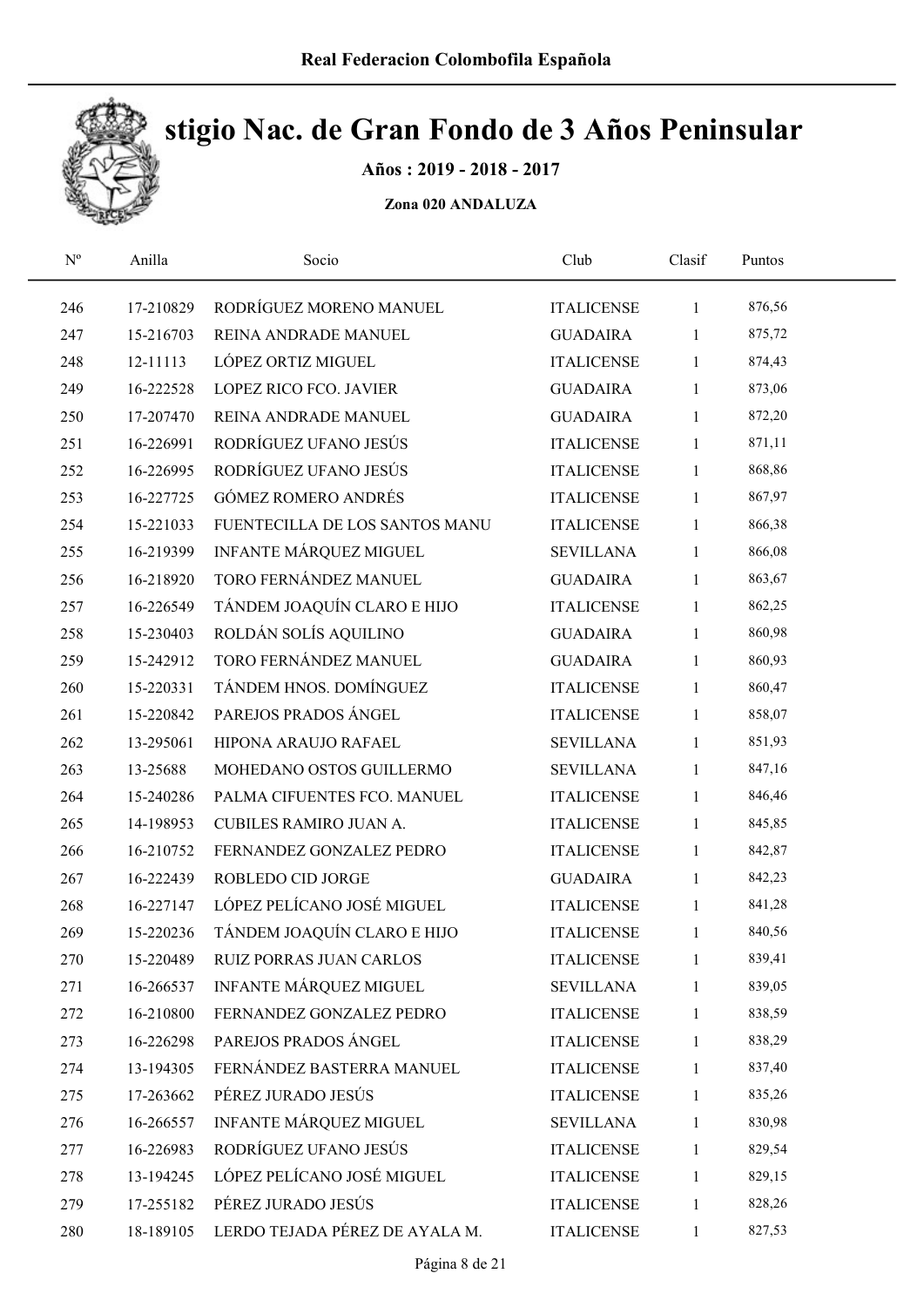

Años : 2019 - 2018 - 2017

| $\mathbf{N}^{\text{o}}$ | Anilla    | Socio                          | Club              | Clasif       | Puntos |  |
|-------------------------|-----------|--------------------------------|-------------------|--------------|--------|--|
| 246                     | 17-210829 | RODRÍGUEZ MORENO MANUEL        | <b>ITALICENSE</b> | $\mathbf{1}$ | 876,56 |  |
| 247                     | 15-216703 | REINA ANDRADE MANUEL           | <b>GUADAIRA</b>   | $\mathbf{1}$ | 875,72 |  |
| 248                     | 12-11113  | LÓPEZ ORTIZ MIGUEL             | <b>ITALICENSE</b> | $\mathbf{1}$ | 874,43 |  |
| 249                     | 16-222528 | LOPEZ RICO FCO. JAVIER         | <b>GUADAIRA</b>   | $\mathbf{1}$ | 873,06 |  |
| 250                     | 17-207470 | REINA ANDRADE MANUEL           | <b>GUADAIRA</b>   | $\mathbf{1}$ | 872,20 |  |
| 251                     | 16-226991 | RODRÍGUEZ UFANO JESÚS          | <b>ITALICENSE</b> | $\mathbf{1}$ | 871,11 |  |
| 252                     | 16-226995 | RODRÍGUEZ UFANO JESÚS          | <b>ITALICENSE</b> | $\mathbf{1}$ | 868,86 |  |
| 253                     | 16-227725 | <b>GÓMEZ ROMERO ANDRÉS</b>     | <b>ITALICENSE</b> | $\mathbf{1}$ | 867,97 |  |
| 254                     | 15-221033 | FUENTECILLA DE LOS SANTOS MANU | <b>ITALICENSE</b> | $\mathbf{1}$ | 866,38 |  |
| 255                     | 16-219399 | INFANTE MÁRQUEZ MIGUEL         | <b>SEVILLANA</b>  | $\mathbf{1}$ | 866,08 |  |
| 256                     | 16-218920 | TORO FERNÁNDEZ MANUEL          | <b>GUADAIRA</b>   | $\mathbf{1}$ | 863,67 |  |
| 257                     | 16-226549 | TÁNDEM JOAQUÍN CLARO E HIJO    | <b>ITALICENSE</b> | $\mathbf{1}$ | 862,25 |  |
| 258                     | 15-230403 | ROLDÁN SOLÍS AQUILINO          | <b>GUADAIRA</b>   | $\mathbf{1}$ | 860,98 |  |
| 259                     | 15-242912 | TORO FERNÁNDEZ MANUEL          | <b>GUADAIRA</b>   | $\mathbf{1}$ | 860,93 |  |
| 260                     | 15-220331 | TÁNDEM HNOS. DOMÍNGUEZ         | <b>ITALICENSE</b> | $\mathbf{1}$ | 860,47 |  |
| 261                     | 15-220842 | PAREJOS PRADOS ÁNGEL           | <b>ITALICENSE</b> | $\mathbf{1}$ | 858,07 |  |
| 262                     | 13-295061 | HIPONA ARAUJO RAFAEL           | <b>SEVILLANA</b>  | $\mathbf{1}$ | 851,93 |  |
| 263                     | 13-25688  | MOHEDANO OSTOS GUILLERMO       | <b>SEVILLANA</b>  | $\mathbf{1}$ | 847,16 |  |
| 264                     | 15-240286 | PALMA CIFUENTES FCO. MANUEL    | <b>ITALICENSE</b> | $\mathbf{1}$ | 846,46 |  |
| 265                     | 14-198953 | CUBILES RAMIRO JUAN A.         | <b>ITALICENSE</b> | $\mathbf{1}$ | 845,85 |  |
| 266                     | 16-210752 | FERNANDEZ GONZALEZ PEDRO       | <b>ITALICENSE</b> | $\mathbf{1}$ | 842,87 |  |
| 267                     | 16-222439 | ROBLEDO CID JORGE              | <b>GUADAIRA</b>   | $\mathbf{1}$ | 842,23 |  |
| 268                     | 16-227147 | LÓPEZ PELÍCANO JOSÉ MIGUEL     | <b>ITALICENSE</b> | $\mathbf{1}$ | 841,28 |  |
| 269                     | 15-220236 | TÁNDEM JOAQUÍN CLARO E HIJO    | <b>ITALICENSE</b> | $\mathbf{1}$ | 840,56 |  |
| 270                     | 15-220489 | RUIZ PORRAS JUAN CARLOS        | <b>ITALICENSE</b> | 1            | 839,41 |  |
| 271                     | 16-266537 | INFANTE MÁRQUEZ MIGUEL         | <b>SEVILLANA</b>  | 1            | 839,05 |  |
| 272                     | 16-210800 | FERNANDEZ GONZALEZ PEDRO       | <b>ITALICENSE</b> | 1            | 838,59 |  |
| 273                     | 16-226298 | PAREJOS PRADOS ÁNGEL           | <b>ITALICENSE</b> | $\mathbf{1}$ | 838,29 |  |
| 274                     | 13-194305 | FERNÁNDEZ BASTERRA MANUEL      | <b>ITALICENSE</b> | $\mathbf{1}$ | 837,40 |  |
| 275                     | 17-263662 | PÉREZ JURADO JESÚS             | <b>ITALICENSE</b> | $\mathbf{1}$ | 835,26 |  |
| 276                     | 16-266557 | INFANTE MÁRQUEZ MIGUEL         | <b>SEVILLANA</b>  | 1            | 830,98 |  |
| 277                     | 16-226983 | RODRÍGUEZ UFANO JESÚS          | <b>ITALICENSE</b> | 1            | 829,54 |  |
| 278                     | 13-194245 | LÓPEZ PELÍCANO JOSÉ MIGUEL     | <b>ITALICENSE</b> | 1            | 829,15 |  |
| 279                     | 17-255182 | PÉREZ JURADO JESÚS             | <b>ITALICENSE</b> | 1            | 828,26 |  |
| 280                     | 18-189105 | LERDO TEJADA PÉREZ DE AYALA M. | <b>ITALICENSE</b> | $\mathbf{1}$ | 827,53 |  |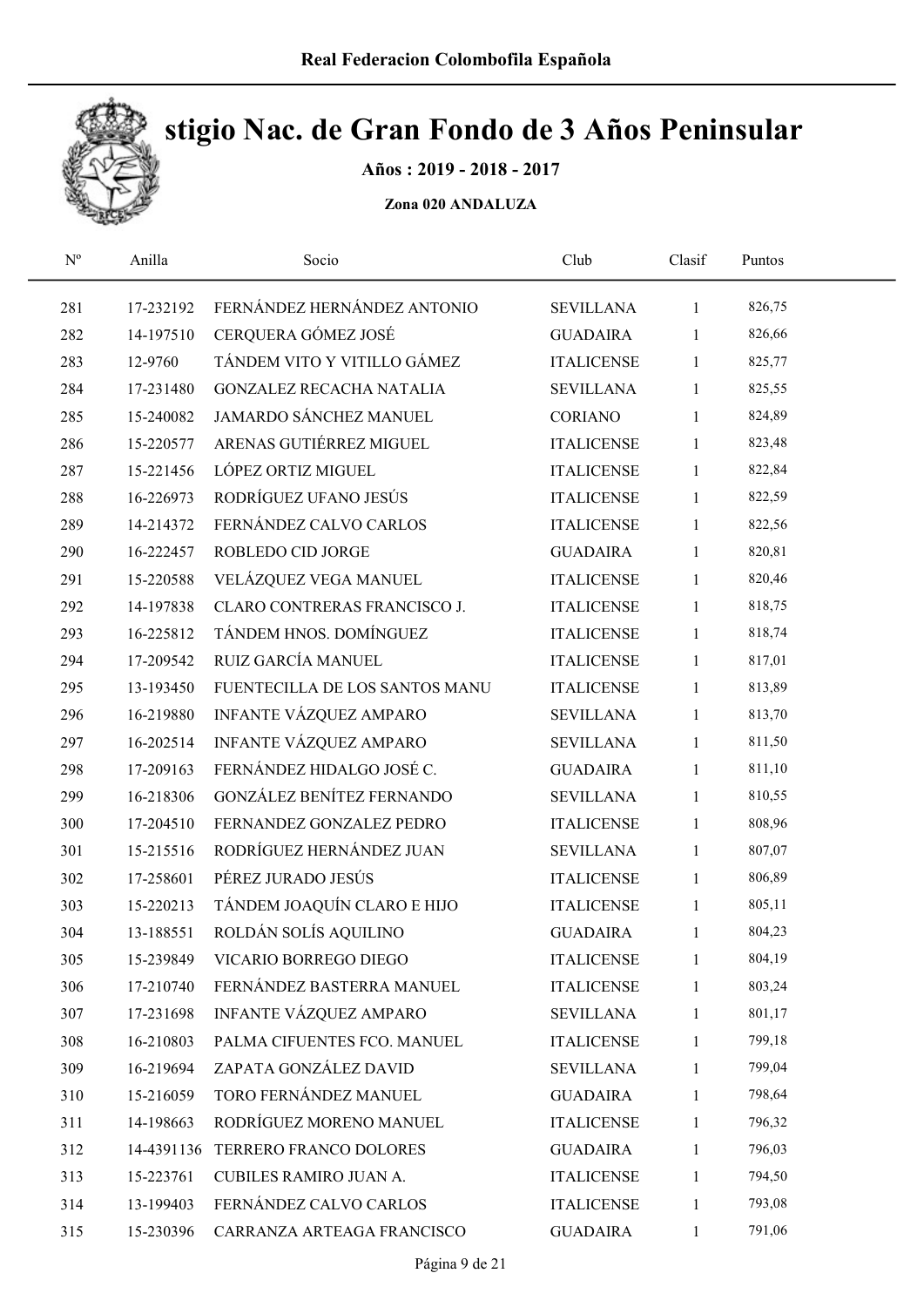

Años : 2019 - 2018 - 2017

| $\mathbf{N}^{\text{o}}$ | Anilla     | Socio                           | Club              | Clasif       | Puntos |  |
|-------------------------|------------|---------------------------------|-------------------|--------------|--------|--|
| 281                     | 17-232192  | FERNÁNDEZ HERNÁNDEZ ANTONIO     | <b>SEVILLANA</b>  | $\mathbf{1}$ | 826,75 |  |
| 282                     | 14-197510  | CERQUERA GÓMEZ JOSÉ             | <b>GUADAIRA</b>   | 1            | 826,66 |  |
| 283                     | 12-9760    | TÁNDEM VITO Y VITILLO GÁMEZ     | <b>ITALICENSE</b> | $\mathbf{1}$ | 825,77 |  |
| 284                     | 17-231480  | <b>GONZALEZ RECACHA NATALIA</b> | <b>SEVILLANA</b>  | 1            | 825,55 |  |
| 285                     | 15-240082  | JAMARDO SÁNCHEZ MANUEL          | CORIANO           | $\mathbf{1}$ | 824,89 |  |
| 286                     | 15-220577  | ARENAS GUTIÉRREZ MIGUEL         | <b>ITALICENSE</b> | $\mathbf{1}$ | 823,48 |  |
| 287                     | 15-221456  | LÓPEZ ORTIZ MIGUEL              | <b>ITALICENSE</b> | $\mathbf{1}$ | 822,84 |  |
| 288                     | 16-226973  | RODRÍGUEZ UFANO JESÚS           | <b>ITALICENSE</b> | $\mathbf{1}$ | 822,59 |  |
| 289                     | 14-214372  | FERNÁNDEZ CALVO CARLOS          | <b>ITALICENSE</b> | $\mathbf{1}$ | 822,56 |  |
| 290                     | 16-222457  | ROBLEDO CID JORGE               | <b>GUADAIRA</b>   | $\mathbf{1}$ | 820,81 |  |
| 291                     | 15-220588  | VELÁZQUEZ VEGA MANUEL           | <b>ITALICENSE</b> | $\mathbf{1}$ | 820,46 |  |
| 292                     | 14-197838  | CLARO CONTRERAS FRANCISCO J.    | <b>ITALICENSE</b> | $\mathbf{1}$ | 818,75 |  |
| 293                     | 16-225812  | TÁNDEM HNOS. DOMÍNGUEZ          | <b>ITALICENSE</b> | $\mathbf{1}$ | 818,74 |  |
| 294                     | 17-209542  | RUIZ GARCÍA MANUEL              | <b>ITALICENSE</b> | $\mathbf{1}$ | 817,01 |  |
| 295                     | 13-193450  | FUENTECILLA DE LOS SANTOS MANU  | <b>ITALICENSE</b> | 1            | 813,89 |  |
| 296                     | 16-219880  | INFANTE VÁZQUEZ AMPARO          | <b>SEVILLANA</b>  | $\mathbf{1}$ | 813,70 |  |
| 297                     | 16-202514  | INFANTE VÁZQUEZ AMPARO          | <b>SEVILLANA</b>  | 1            | 811,50 |  |
| 298                     | 17-209163  | FERNÁNDEZ HIDALGO JOSÉ C.       | <b>GUADAIRA</b>   | $\mathbf{1}$ | 811,10 |  |
| 299                     | 16-218306  | GONZÁLEZ BENÍTEZ FERNANDO       | <b>SEVILLANA</b>  | 1            | 810,55 |  |
| 300                     | 17-204510  | FERNANDEZ GONZALEZ PEDRO        | <b>ITALICENSE</b> | $\mathbf{1}$ | 808,96 |  |
| 301                     | 15-215516  | RODRÍGUEZ HERNÁNDEZ JUAN        | <b>SEVILLANA</b>  | $\mathbf{1}$ | 807,07 |  |
| 302                     | 17-258601  | PÉREZ JURADO JESÚS              | <b>ITALICENSE</b> | $\mathbf{1}$ | 806,89 |  |
| 303                     | 15-220213  | TÁNDEM JOAQUÍN CLARO E HIJO     | <b>ITALICENSE</b> | $\mathbf{1}$ | 805,11 |  |
| 304                     | 13-188551  | ROLDÁN SOLÍS AQUILINO           | <b>GUADAIRA</b>   | $\mathbf{1}$ | 804,23 |  |
| 305                     | 15-239849  | VICARIO BORREGO DIEGO           | <b>ITALICENSE</b> | 1            | 804,19 |  |
| 306                     | 17-210740  | FERNÁNDEZ BASTERRA MANUEL       | <b>ITALICENSE</b> | $\mathbf{1}$ | 803,24 |  |
| 307                     | 17-231698  | <b>INFANTE VÁZQUEZ AMPARO</b>   | <b>SEVILLANA</b>  | 1            | 801,17 |  |
| 308                     | 16-210803  | PALMA CIFUENTES FCO. MANUEL     | <b>ITALICENSE</b> | 1            | 799,18 |  |
| 309                     | 16-219694  | ZAPATA GONZÁLEZ DAVID           | <b>SEVILLANA</b>  | 1            | 799,04 |  |
| 310                     | 15-216059  | TORO FERNÁNDEZ MANUEL           | <b>GUADAIRA</b>   | 1            | 798,64 |  |
| 311                     | 14-198663  | RODRÍGUEZ MORENO MANUEL         | <b>ITALICENSE</b> | 1            | 796,32 |  |
| 312                     | 14-4391136 | TERRERO FRANCO DOLORES          | <b>GUADAIRA</b>   | 1            | 796,03 |  |
| 313                     | 15-223761  | CUBILES RAMIRO JUAN A.          | <b>ITALICENSE</b> | $\mathbf{1}$ | 794,50 |  |
| 314                     | 13-199403  | FERNÁNDEZ CALVO CARLOS          | <b>ITALICENSE</b> | 1            | 793,08 |  |
| 315                     | 15-230396  | CARRANZA ARTEAGA FRANCISCO      | <b>GUADAIRA</b>   | $\mathbf{1}$ | 791,06 |  |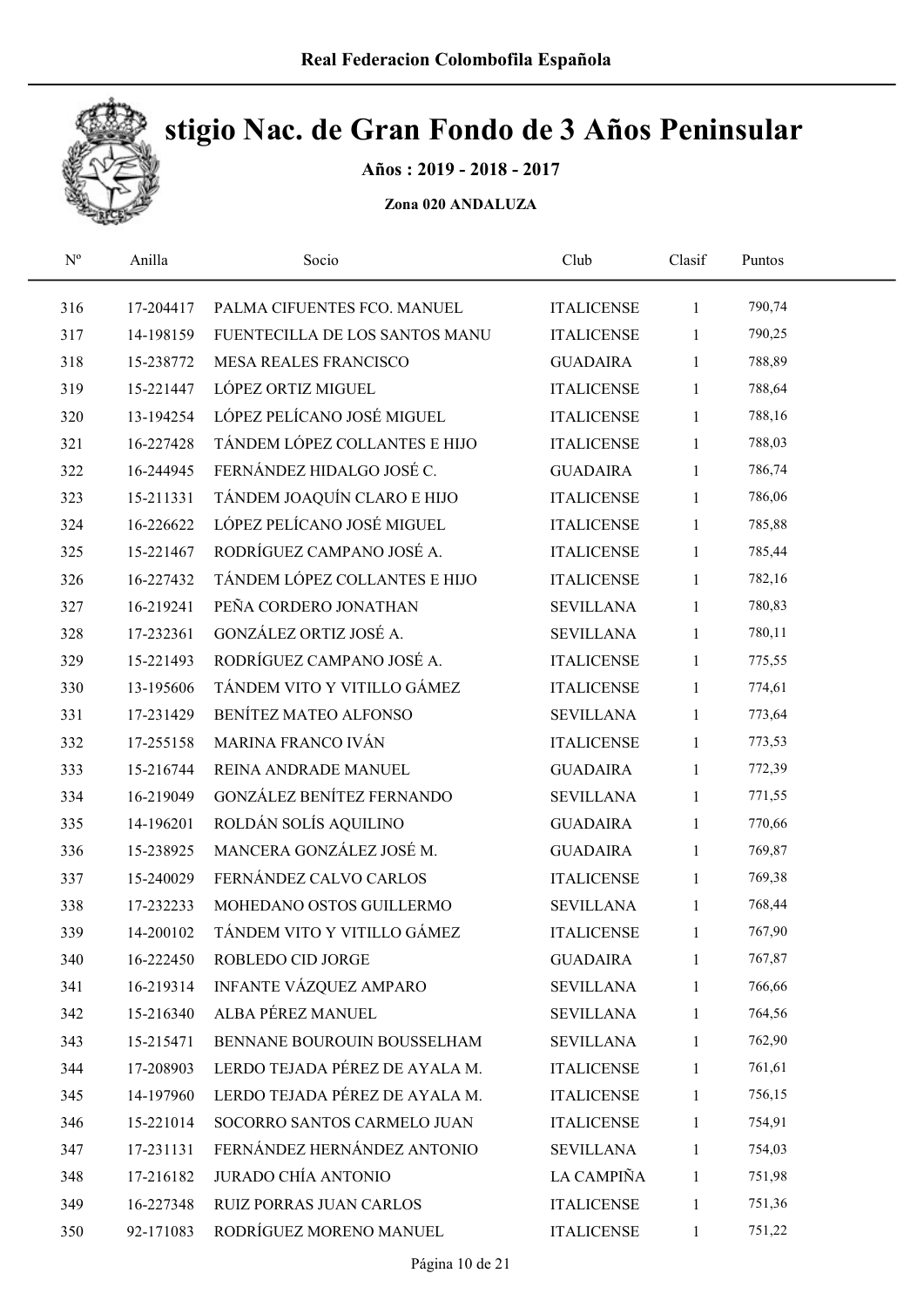

Años : 2019 - 2018 - 2017

| $\mathbf{N}^{\text{o}}$ | Anilla    | Socio                          | Club              | Clasif       | Puntos |  |
|-------------------------|-----------|--------------------------------|-------------------|--------------|--------|--|
| 316                     | 17-204417 | PALMA CIFUENTES FCO. MANUEL    | <b>ITALICENSE</b> | 1            | 790,74 |  |
| 317                     | 14-198159 | FUENTECILLA DE LOS SANTOS MANU | <b>ITALICENSE</b> | $\mathbf{1}$ | 790,25 |  |
| 318                     | 15-238772 | MESA REALES FRANCISCO          | <b>GUADAIRA</b>   | 1            | 788,89 |  |
| 319                     | 15-221447 | LÓPEZ ORTIZ MIGUEL             | <b>ITALICENSE</b> | $\mathbf{1}$ | 788,64 |  |
| 320                     | 13-194254 | LÓPEZ PELÍCANO JOSÉ MIGUEL     | <b>ITALICENSE</b> | 1            | 788,16 |  |
| 321                     | 16-227428 | TÁNDEM LÓPEZ COLLANTES E HIJO  | <b>ITALICENSE</b> | 1            | 788,03 |  |
| 322                     | 16-244945 | FERNÁNDEZ HIDALGO JOSÉ C.      | <b>GUADAIRA</b>   | 1            | 786,74 |  |
| 323                     | 15-211331 | TÁNDEM JOAQUÍN CLARO E HIJO    | <b>ITALICENSE</b> | $\mathbf{1}$ | 786,06 |  |
| 324                     | 16-226622 | LÓPEZ PELÍCANO JOSÉ MIGUEL     | <b>ITALICENSE</b> | 1            | 785,88 |  |
| 325                     | 15-221467 | RODRÍGUEZ CAMPANO JOSÉ A.      | <b>ITALICENSE</b> | 1            | 785,44 |  |
| 326                     | 16-227432 | TÁNDEM LÓPEZ COLLANTES E HIJO  | <b>ITALICENSE</b> | 1            | 782,16 |  |
| 327                     | 16-219241 | PEÑA CORDERO JONATHAN          | <b>SEVILLANA</b>  | 1            | 780,83 |  |
| 328                     | 17-232361 | GONZÁLEZ ORTIZ JOSÉ A.         | <b>SEVILLANA</b>  | 1            | 780,11 |  |
| 329                     | 15-221493 | RODRÍGUEZ CAMPANO JOSÉ A.      | <b>ITALICENSE</b> | $\mathbf{1}$ | 775,55 |  |
| 330                     | 13-195606 | TÁNDEM VITO Y VITILLO GÁMEZ    | <b>ITALICENSE</b> | $\mathbf{1}$ | 774,61 |  |
| 331                     | 17-231429 | BENÍTEZ MATEO ALFONSO          | <b>SEVILLANA</b>  | $\mathbf{1}$ | 773,64 |  |
| 332                     | 17-255158 | MARINA FRANCO IVÁN             | <b>ITALICENSE</b> | 1            | 773,53 |  |
| 333                     | 15-216744 | REINA ANDRADE MANUEL           | <b>GUADAIRA</b>   | 1            | 772,39 |  |
| 334                     | 16-219049 | GONZÁLEZ BENÍTEZ FERNANDO      | <b>SEVILLANA</b>  | $\mathbf{1}$ | 771,55 |  |
| 335                     | 14-196201 | ROLDÁN SOLÍS AQUILINO          | <b>GUADAIRA</b>   | $\mathbf{1}$ | 770,66 |  |
| 336                     | 15-238925 | MANCERA GONZÁLEZ JOSÉ M.       | <b>GUADAIRA</b>   | $\mathbf{1}$ | 769,87 |  |
| 337                     | 15-240029 | FERNÁNDEZ CALVO CARLOS         | <b>ITALICENSE</b> | $\mathbf{1}$ | 769,38 |  |
| 338                     | 17-232233 | MOHEDANO OSTOS GUILLERMO       | <b>SEVILLANA</b>  | 1            | 768,44 |  |
| 339                     | 14-200102 | TÁNDEM VITO Y VITILLO GÁMEZ    | <b>ITALICENSE</b> | $\mathbf{1}$ | 767,90 |  |
| 340                     | 16-222450 | ROBLEDO CID JORGE              | <b>GUADAIRA</b>   | 1            | 767,87 |  |
| 341                     | 16-219314 | INFANTE VÁZQUEZ AMPARO         | <b>SEVILLANA</b>  | 1            | 766,66 |  |
| 342                     | 15-216340 | ALBA PÉREZ MANUEL              | <b>SEVILLANA</b>  | 1            | 764,56 |  |
| 343                     | 15-215471 | BENNANE BOUROUIN BOUSSELHAM    | <b>SEVILLANA</b>  | 1            | 762,90 |  |
| 344                     | 17-208903 | LERDO TEJADA PÉREZ DE AYALA M. | <b>ITALICENSE</b> | 1            | 761,61 |  |
| 345                     | 14-197960 | LERDO TEJADA PÉREZ DE AYALA M. | <b>ITALICENSE</b> | 1            | 756,15 |  |
| 346                     | 15-221014 | SOCORRO SANTOS CARMELO JUAN    | <b>ITALICENSE</b> | 1            | 754,91 |  |
| 347                     | 17-231131 | FERNÁNDEZ HERNÁNDEZ ANTONIO    | <b>SEVILLANA</b>  | 1            | 754,03 |  |
| 348                     | 17-216182 | <b>JURADO CHÍA ANTONIO</b>     | LA CAMPIÑA        | 1            | 751,98 |  |
| 349                     | 16-227348 | RUIZ PORRAS JUAN CARLOS        | <b>ITALICENSE</b> | $\mathbf{1}$ | 751,36 |  |
| 350                     | 92-171083 | RODRÍGUEZ MORENO MANUEL        | <b>ITALICENSE</b> | $\mathbf{1}$ | 751,22 |  |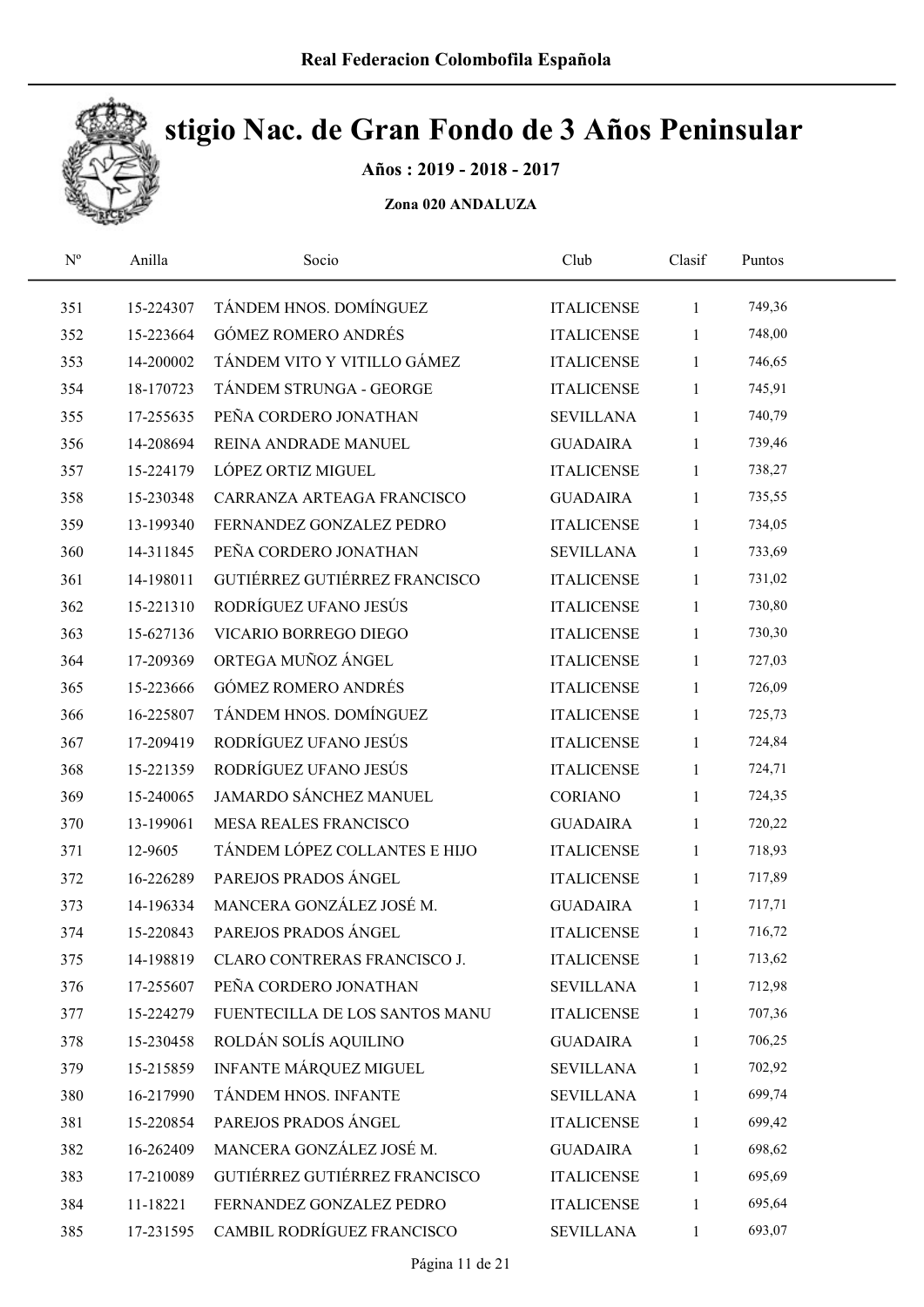

Años : 2019 - 2018 - 2017

| $\mathbf{N}^{\text{o}}$ | Anilla    | Socio                          | Club              | Clasif       | Puntos |  |
|-------------------------|-----------|--------------------------------|-------------------|--------------|--------|--|
| 351                     | 15-224307 | TÁNDEM HNOS. DOMÍNGUEZ         | <b>ITALICENSE</b> | $\mathbf{1}$ | 749,36 |  |
| 352                     | 15-223664 | <b>GÓMEZ ROMERO ANDRÉS</b>     | <b>ITALICENSE</b> | 1            | 748,00 |  |
| 353                     | 14-200002 | TÁNDEM VITO Y VITILLO GÁMEZ    | <b>ITALICENSE</b> | 1            | 746,65 |  |
| 354                     | 18-170723 | TÁNDEM STRUNGA - GEORGE        | <b>ITALICENSE</b> | $\mathbf{1}$ | 745,91 |  |
| 355                     | 17-255635 | PEÑA CORDERO JONATHAN          | <b>SEVILLANA</b>  | $\mathbf{1}$ | 740,79 |  |
| 356                     | 14-208694 | REINA ANDRADE MANUEL           | <b>GUADAIRA</b>   | 1            | 739,46 |  |
| 357                     | 15-224179 | LÓPEZ ORTIZ MIGUEL             | <b>ITALICENSE</b> | $\mathbf{1}$ | 738,27 |  |
| 358                     | 15-230348 | CARRANZA ARTEAGA FRANCISCO     | <b>GUADAIRA</b>   | 1            | 735,55 |  |
| 359                     | 13-199340 | FERNANDEZ GONZALEZ PEDRO       | <b>ITALICENSE</b> | $\mathbf{1}$ | 734,05 |  |
| 360                     | 14-311845 | PEÑA CORDERO JONATHAN          | <b>SEVILLANA</b>  | $\mathbf{1}$ | 733,69 |  |
| 361                     | 14-198011 | GUTIÉRREZ GUTIÉRREZ FRANCISCO  | <b>ITALICENSE</b> | $\mathbf{1}$ | 731,02 |  |
| 362                     | 15-221310 | RODRÍGUEZ UFANO JESÚS          | <b>ITALICENSE</b> | 1            | 730,80 |  |
| 363                     | 15-627136 | VICARIO BORREGO DIEGO          | <b>ITALICENSE</b> | 1            | 730,30 |  |
| 364                     | 17-209369 | ORTEGA MUÑOZ ÁNGEL             | <b>ITALICENSE</b> | 1            | 727,03 |  |
| 365                     | 15-223666 | GÓMEZ ROMERO ANDRÉS            | <b>ITALICENSE</b> | 1            | 726,09 |  |
| 366                     | 16-225807 | TÁNDEM HNOS. DOMÍNGUEZ         | <b>ITALICENSE</b> | 1            | 725,73 |  |
| 367                     | 17-209419 | RODRÍGUEZ UFANO JESÚS          | <b>ITALICENSE</b> | $\mathbf{1}$ | 724,84 |  |
| 368                     | 15-221359 | RODRÍGUEZ UFANO JESÚS          | <b>ITALICENSE</b> | $\mathbf{1}$ | 724,71 |  |
| 369                     | 15-240065 | JAMARDO SÁNCHEZ MANUEL         | CORIANO           | 1            | 724,35 |  |
| 370                     | 13-199061 | <b>MESA REALES FRANCISCO</b>   | <b>GUADAIRA</b>   | 1            | 720,22 |  |
| 371                     | 12-9605   | TÁNDEM LÓPEZ COLLANTES E HIJO  | <b>ITALICENSE</b> | $\mathbf{1}$ | 718,93 |  |
| 372                     | 16-226289 | PAREJOS PRADOS ÁNGEL           | <b>ITALICENSE</b> | $\mathbf{1}$ | 717,89 |  |
| 373                     | 14-196334 | MANCERA GONZÁLEZ JOSÉ M.       | <b>GUADAIRA</b>   | $\mathbf{1}$ | 717,71 |  |
| 374                     | 15-220843 | PAREJOS PRADOS ÁNGEL           | <b>ITALICENSE</b> | 1            | 716,72 |  |
| 375                     | 14-198819 | CLARO CONTRERAS FRANCISCO J.   | <b>ITALICENSE</b> | 1            | 713,62 |  |
| 376                     | 17-255607 | PEÑA CORDERO JONATHAN          | <b>SEVILLANA</b>  | 1            | 712,98 |  |
| 377                     | 15-224279 | FUENTECILLA DE LOS SANTOS MANU | <b>ITALICENSE</b> | 1            | 707,36 |  |
| 378                     | 15-230458 | ROLDÁN SOLÍS AQUILINO          | <b>GUADAIRA</b>   | 1            | 706,25 |  |
| 379                     | 15-215859 | INFANTE MÁRQUEZ MIGUEL         | <b>SEVILLANA</b>  | 1            | 702,92 |  |
| 380                     | 16-217990 | TÁNDEM HNOS. INFANTE           | <b>SEVILLANA</b>  | $\mathbf{1}$ | 699,74 |  |
| 381                     | 15-220854 | PAREJOS PRADOS ÁNGEL           | <b>ITALICENSE</b> | 1            | 699,42 |  |
| 382                     | 16-262409 | MANCERA GONZÁLEZ JOSÉ M.       | <b>GUADAIRA</b>   | 1            | 698,62 |  |
| 383                     | 17-210089 | GUTIÉRREZ GUTIÉRREZ FRANCISCO  | <b>ITALICENSE</b> | 1            | 695,69 |  |
| 384                     | 11-18221  | FERNANDEZ GONZALEZ PEDRO       | <b>ITALICENSE</b> | 1            | 695,64 |  |
| 385                     | 17-231595 | CAMBIL RODRÍGUEZ FRANCISCO     | <b>SEVILLANA</b>  | $\mathbf{1}$ | 693,07 |  |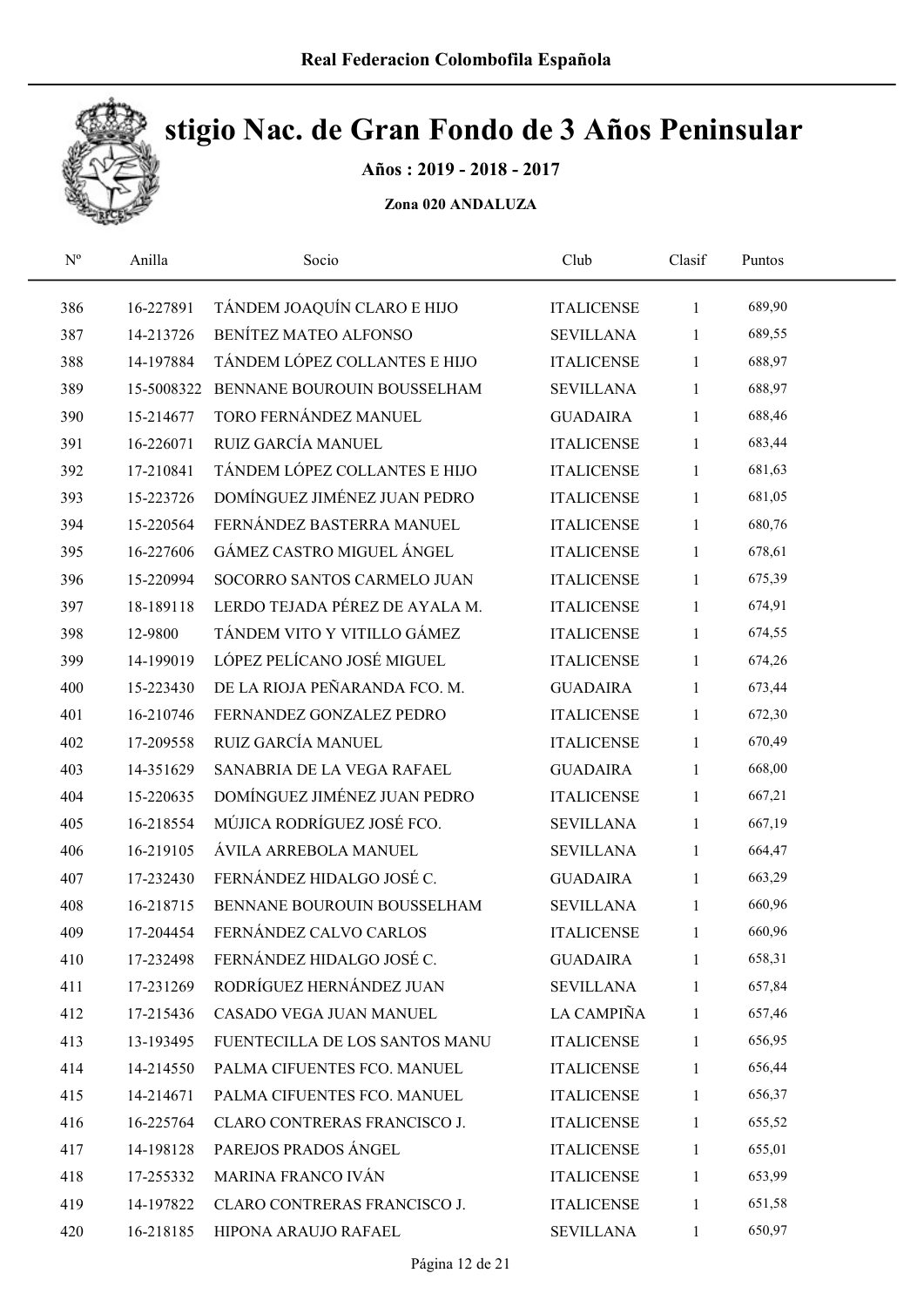

Años : 2019 - 2018 - 2017

| $\mathbf{N}^{\text{o}}$ | Anilla     | Socio                          | Club              | Clasif       | Puntos |  |
|-------------------------|------------|--------------------------------|-------------------|--------------|--------|--|
| 386                     | 16-227891  | TÁNDEM JOAQUÍN CLARO E HIJO    | <b>ITALICENSE</b> | $\mathbf{1}$ | 689,90 |  |
| 387                     | 14-213726  | BENÍTEZ MATEO ALFONSO          | <b>SEVILLANA</b>  | 1            | 689,55 |  |
| 388                     | 14-197884  | TÁNDEM LÓPEZ COLLANTES E HIJO  | <b>ITALICENSE</b> | 1            | 688,97 |  |
| 389                     | 15-5008322 | BENNANE BOUROUIN BOUSSELHAM    | <b>SEVILLANA</b>  | 1            | 688,97 |  |
| 390                     | 15-214677  | TORO FERNÁNDEZ MANUEL          | <b>GUADAIRA</b>   | $\mathbf{1}$ | 688,46 |  |
| 391                     | 16-226071  | RUIZ GARCÍA MANUEL             | <b>ITALICENSE</b> | 1            | 683,44 |  |
| 392                     | 17-210841  | TÁNDEM LÓPEZ COLLANTES E HIJO  | <b>ITALICENSE</b> | $\mathbf{1}$ | 681,63 |  |
| 393                     | 15-223726  | DOMÍNGUEZ JIMÉNEZ JUAN PEDRO   | <b>ITALICENSE</b> | $\mathbf{1}$ | 681,05 |  |
| 394                     | 15-220564  | FERNÁNDEZ BASTERRA MANUEL      | <b>ITALICENSE</b> | 1            | 680,76 |  |
| 395                     | 16-227606  | GÁMEZ CASTRO MIGUEL ÁNGEL      | <b>ITALICENSE</b> | $\mathbf{1}$ | 678,61 |  |
| 396                     | 15-220994  | SOCORRO SANTOS CARMELO JUAN    | <b>ITALICENSE</b> | 1            | 675,39 |  |
| 397                     | 18-189118  | LERDO TEJADA PÉREZ DE AYALA M. | <b>ITALICENSE</b> | 1            | 674,91 |  |
| 398                     | 12-9800    | TÁNDEM VITO Y VITILLO GÁMEZ    | <b>ITALICENSE</b> | 1            | 674,55 |  |
| 399                     | 14-199019  | LÓPEZ PELÍCANO JOSÉ MIGUEL     | <b>ITALICENSE</b> | $\mathbf{1}$ | 674,26 |  |
| 400                     | 15-223430  | DE LA RIOJA PEÑARANDA FCO. M.  | <b>GUADAIRA</b>   | 1            | 673,44 |  |
| 401                     | 16-210746  | FERNANDEZ GONZALEZ PEDRO       | <b>ITALICENSE</b> | 1            | 672,30 |  |
| 402                     | 17-209558  | RUIZ GARCÍA MANUEL             | <b>ITALICENSE</b> | $\mathbf{1}$ | 670,49 |  |
| 403                     | 14-351629  | SANABRIA DE LA VEGA RAFAEL     | <b>GUADAIRA</b>   | $\mathbf{1}$ | 668,00 |  |
| 404                     | 15-220635  | DOMÍNGUEZ JIMÉNEZ JUAN PEDRO   | <b>ITALICENSE</b> | $\mathbf{1}$ | 667,21 |  |
| 405                     | 16-218554  | MÚJICA RODRÍGUEZ JOSÉ FCO.     | <b>SEVILLANA</b>  | $\mathbf{1}$ | 667,19 |  |
| 406                     | 16-219105  | ÁVILA ARREBOLA MANUEL          | <b>SEVILLANA</b>  | $\mathbf{1}$ | 664,47 |  |
| 407                     | 17-232430  | FERNÁNDEZ HIDALGO JOSÉ C.      | <b>GUADAIRA</b>   | $\mathbf{1}$ | 663,29 |  |
| 408                     | 16-218715  | BENNANE BOUROUIN BOUSSELHAM    | <b>SEVILLANA</b>  | $\mathbf{1}$ | 660,96 |  |
| 409                     | 17-204454  | FERNÁNDEZ CALVO CARLOS         | <b>ITALICENSE</b> | 1            | 660,96 |  |
| 410                     | 17-232498  | FERNÁNDEZ HIDALGO JOSÉ C.      | <b>GUADAIRA</b>   | 1            | 658,31 |  |
| 411                     | 17-231269  | RODRÍGUEZ HERNÁNDEZ JUAN       | <b>SEVILLANA</b>  | 1            | 657,84 |  |
| 412                     | 17-215436  | CASADO VEGA JUAN MANUEL        | LA CAMPIÑA        | 1            | 657,46 |  |
| 413                     | 13-193495  | FUENTECILLA DE LOS SANTOS MANU | <b>ITALICENSE</b> | 1            | 656,95 |  |
| 414                     | 14-214550  | PALMA CIFUENTES FCO. MANUEL    | <b>ITALICENSE</b> | 1            | 656,44 |  |
| 415                     | 14-214671  | PALMA CIFUENTES FCO. MANUEL    | <b>ITALICENSE</b> | $\mathbf{1}$ | 656,37 |  |
| 416                     | 16-225764  | CLARO CONTRERAS FRANCISCO J.   | <b>ITALICENSE</b> | $\mathbf{1}$ | 655,52 |  |
| 417                     | 14-198128  | PAREJOS PRADOS ÁNGEL           | <b>ITALICENSE</b> | 1            | 655,01 |  |
| 418                     | 17-255332  | MARINA FRANCO IVÁN             | <b>ITALICENSE</b> | 1            | 653,99 |  |
| 419                     | 14-197822  | CLARO CONTRERAS FRANCISCO J.   | <b>ITALICENSE</b> | $\mathbf{1}$ | 651,58 |  |
| 420                     | 16-218185  | HIPONA ARAUJO RAFAEL           | <b>SEVILLANA</b>  | $\mathbf{1}$ | 650,97 |  |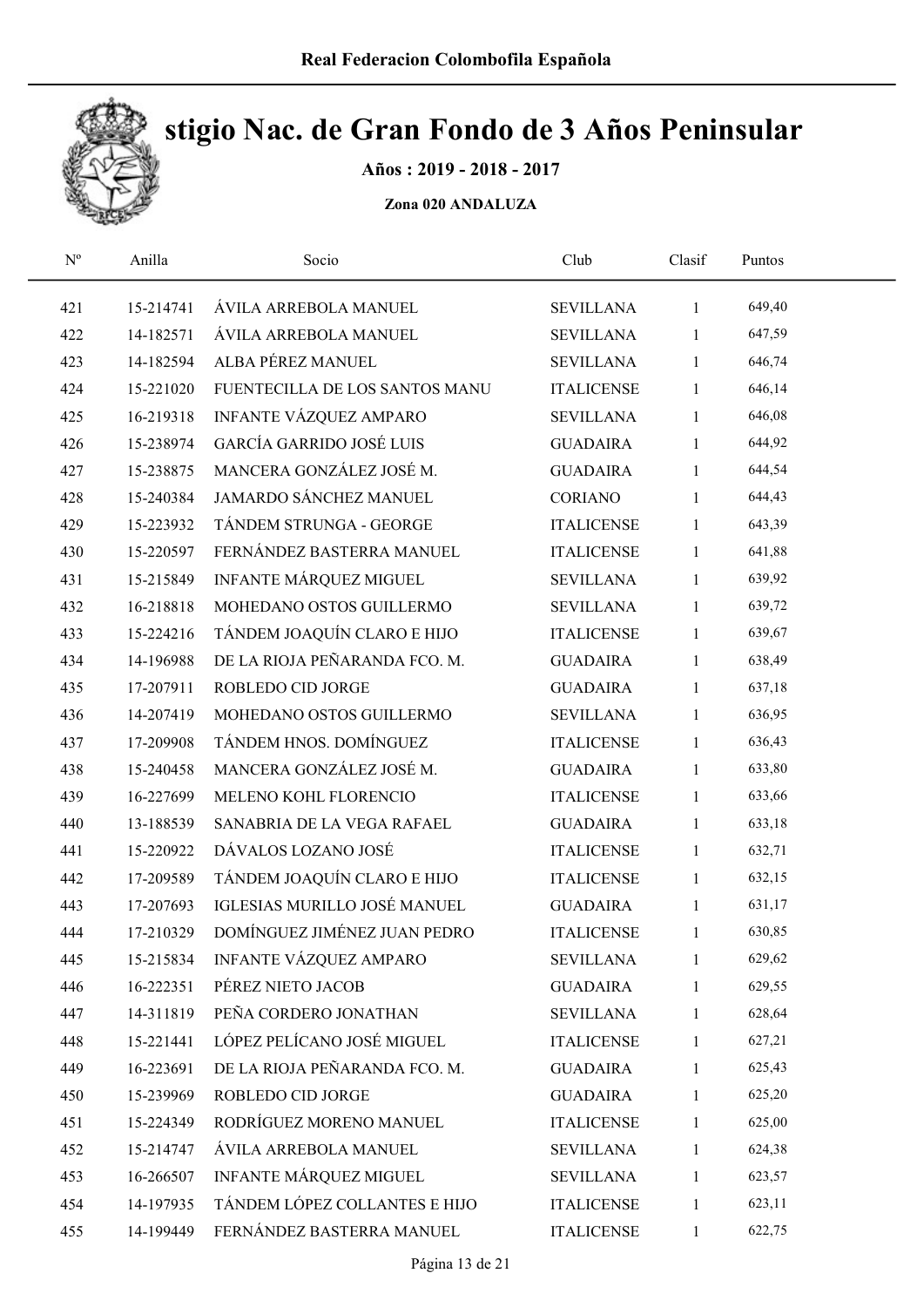

Años : 2019 - 2018 - 2017

| $\mathbf{N}^{\text{o}}$ | Anilla    | Socio                           | Club              | Clasif       | Puntos |  |
|-------------------------|-----------|---------------------------------|-------------------|--------------|--------|--|
| 421                     | 15-214741 | ÁVILA ARREBOLA MANUEL           | <b>SEVILLANA</b>  | $\mathbf{1}$ | 649,40 |  |
| 422                     | 14-182571 | ÁVILA ARREBOLA MANUEL           | <b>SEVILLANA</b>  | 1            | 647,59 |  |
| 423                     | 14-182594 | ALBA PÉREZ MANUEL               | <b>SEVILLANA</b>  | $\mathbf{1}$ | 646,74 |  |
| 424                     | 15-221020 | FUENTECILLA DE LOS SANTOS MANU  | <b>ITALICENSE</b> | $\mathbf{1}$ | 646,14 |  |
| 425                     | 16-219318 | INFANTE VÁZQUEZ AMPARO          | <b>SEVILLANA</b>  | $\mathbf{1}$ | 646,08 |  |
| 426                     | 15-238974 | <b>GARCÍA GARRIDO JOSÉ LUIS</b> | <b>GUADAIRA</b>   | $\mathbf{1}$ | 644,92 |  |
| 427                     | 15-238875 | MANCERA GONZÁLEZ JOSÉ M.        | <b>GUADAIRA</b>   | $\mathbf{1}$ | 644,54 |  |
| 428                     | 15-240384 | JAMARDO SÁNCHEZ MANUEL          | <b>CORIANO</b>    | $\mathbf{1}$ | 644,43 |  |
| 429                     | 15-223932 | TÁNDEM STRUNGA - GEORGE         | <b>ITALICENSE</b> | $\mathbf{1}$ | 643,39 |  |
| 430                     | 15-220597 | FERNÁNDEZ BASTERRA MANUEL       | <b>ITALICENSE</b> | $\mathbf{1}$ | 641,88 |  |
| 431                     | 15-215849 | INFANTE MÁRQUEZ MIGUEL          | <b>SEVILLANA</b>  | $\mathbf{1}$ | 639,92 |  |
| 432                     | 16-218818 | MOHEDANO OSTOS GUILLERMO        | <b>SEVILLANA</b>  | $\mathbf{1}$ | 639,72 |  |
| 433                     | 15-224216 | TÁNDEM JOAQUÍN CLARO E HIJO     | <b>ITALICENSE</b> | $\mathbf{1}$ | 639,67 |  |
| 434                     | 14-196988 | DE LA RIOJA PEÑARANDA FCO. M.   | <b>GUADAIRA</b>   | $\mathbf{1}$ | 638,49 |  |
| 435                     | 17-207911 | ROBLEDO CID JORGE               | <b>GUADAIRA</b>   | 1            | 637,18 |  |
| 436                     | 14-207419 | MOHEDANO OSTOS GUILLERMO        | <b>SEVILLANA</b>  | $\mathbf{1}$ | 636,95 |  |
| 437                     | 17-209908 | TÁNDEM HNOS. DOMÍNGUEZ          | <b>ITALICENSE</b> | $\mathbf{1}$ | 636,43 |  |
| 438                     | 15-240458 | MANCERA GONZÁLEZ JOSÉ M.        | <b>GUADAIRA</b>   | $\mathbf{1}$ | 633,80 |  |
| 439                     | 16-227699 | MELENO KOHL FLORENCIO           | <b>ITALICENSE</b> | $\mathbf{1}$ | 633,66 |  |
| 440                     | 13-188539 | SANABRIA DE LA VEGA RAFAEL      | <b>GUADAIRA</b>   | $\mathbf{1}$ | 633,18 |  |
| 441                     | 15-220922 | DÁVALOS LOZANO JOSÉ             | <b>ITALICENSE</b> | $\mathbf{1}$ | 632,71 |  |
| 442                     | 17-209589 | TÁNDEM JOAQUÍN CLARO E HIJO     | <b>ITALICENSE</b> | $\mathbf{1}$ | 632,15 |  |
| 443                     | 17-207693 | IGLESIAS MURILLO JOSÉ MANUEL    | <b>GUADAIRA</b>   | $\mathbf{1}$ | 631,17 |  |
| 444                     | 17-210329 | DOMÍNGUEZ JIMÉNEZ JUAN PEDRO    | <b>ITALICENSE</b> | 1            | 630,85 |  |
| 445                     | 15-215834 | INFANTE VÁZQUEZ AMPARO          | <b>SEVILLANA</b>  | 1            | 629,62 |  |
| 446                     | 16-222351 | PÉREZ NIETO JACOB               | <b>GUADAIRA</b>   | 1            | 629,55 |  |
| 447                     | 14-311819 | PEÑA CORDERO JONATHAN           | <b>SEVILLANA</b>  | 1            | 628,64 |  |
| 448                     | 15-221441 | LÓPEZ PELÍCANO JOSÉ MIGUEL      | <b>ITALICENSE</b> | 1            | 627,21 |  |
| 449                     | 16-223691 | DE LA RIOJA PEÑARANDA FCO. M.   | <b>GUADAIRA</b>   | 1            | 625,43 |  |
| 450                     | 15-239969 | ROBLEDO CID JORGE               | <b>GUADAIRA</b>   | $\mathbf{1}$ | 625,20 |  |
| 451                     | 15-224349 | RODRÍGUEZ MORENO MANUEL         | <b>ITALICENSE</b> | 1            | 625,00 |  |
| 452                     | 15-214747 | ÁVILA ARREBOLA MANUEL           | <b>SEVILLANA</b>  | 1            | 624,38 |  |
| 453                     | 16-266507 | INFANTE MÁRQUEZ MIGUEL          | <b>SEVILLANA</b>  | 1            | 623,57 |  |
| 454                     | 14-197935 | TÁNDEM LÓPEZ COLLANTES E HIJO   | <b>ITALICENSE</b> | 1            | 623,11 |  |
| 455                     | 14-199449 | FERNÁNDEZ BASTERRA MANUEL       | <b>ITALICENSE</b> | $\mathbf{1}$ | 622,75 |  |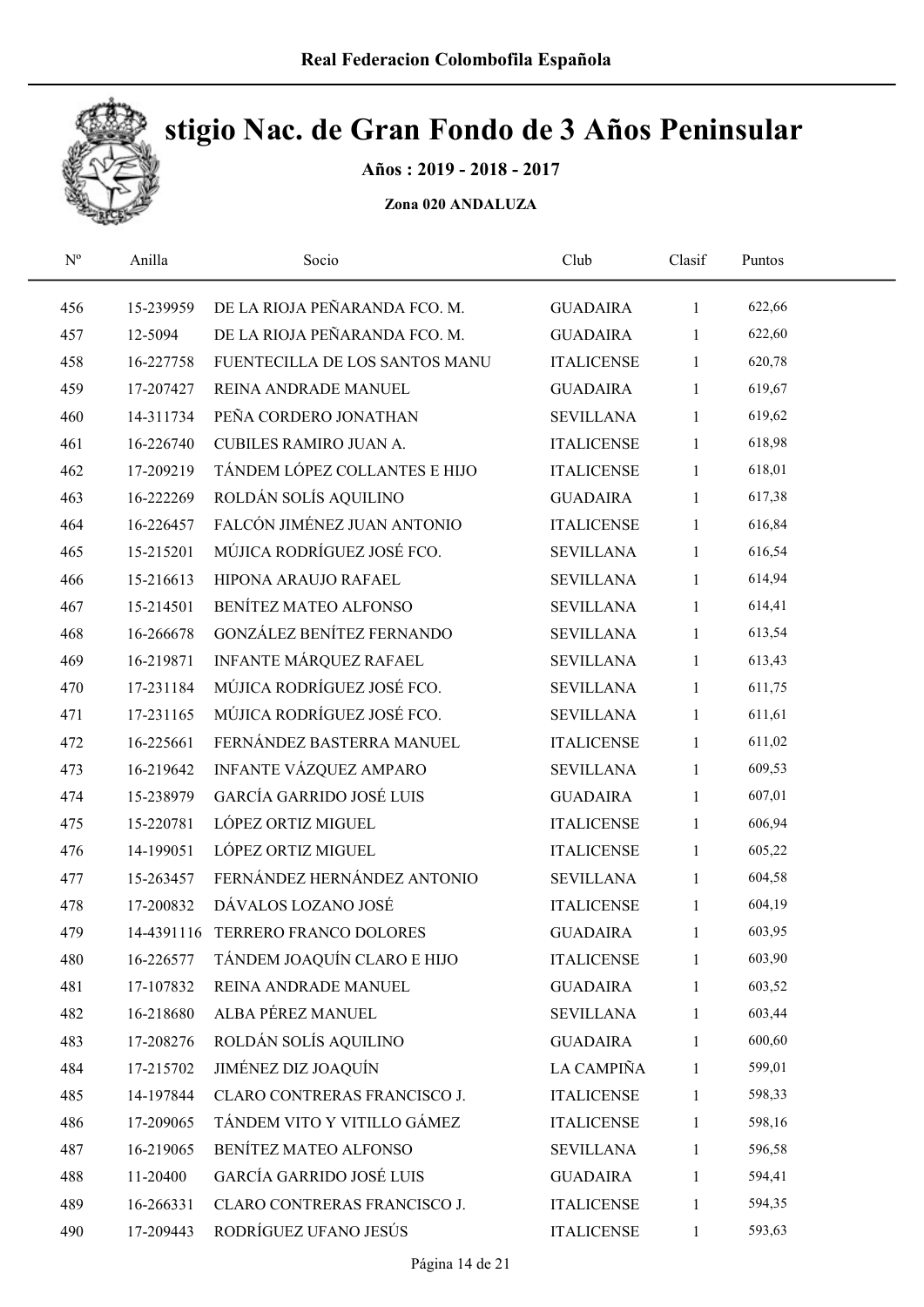

Años : 2019 - 2018 - 2017

| $N^{\rm o}$ | Anilla    | Socio                             | Club              | Clasif       | Puntos |  |
|-------------|-----------|-----------------------------------|-------------------|--------------|--------|--|
| 456         | 15-239959 | DE LA RIOJA PEÑARANDA FCO. M.     | <b>GUADAIRA</b>   | $\mathbf{1}$ | 622,66 |  |
| 457         | 12-5094   | DE LA RIOJA PEÑARANDA FCO. M.     | <b>GUADAIRA</b>   | $\mathbf{1}$ | 622,60 |  |
| 458         | 16-227758 | FUENTECILLA DE LOS SANTOS MANU    | <b>ITALICENSE</b> | $\mathbf{1}$ | 620,78 |  |
| 459         | 17-207427 | REINA ANDRADE MANUEL              | <b>GUADAIRA</b>   | 1            | 619,67 |  |
| 460         | 14-311734 | PEÑA CORDERO JONATHAN             | <b>SEVILLANA</b>  | $\mathbf{1}$ | 619,62 |  |
| 461         | 16-226740 | CUBILES RAMIRO JUAN A.            | <b>ITALICENSE</b> | $\mathbf{1}$ | 618,98 |  |
| 462         | 17-209219 | TÁNDEM LÓPEZ COLLANTES E HIJO     | <b>ITALICENSE</b> | $\mathbf{1}$ | 618,01 |  |
| 463         | 16-222269 | ROLDÁN SOLÍS AQUILINO             | <b>GUADAIRA</b>   | $\mathbf{1}$ | 617,38 |  |
| 464         | 16-226457 | FALCÓN JIMÉNEZ JUAN ANTONIO       | <b>ITALICENSE</b> | $\mathbf{1}$ | 616,84 |  |
| 465         | 15-215201 | MÚJICA RODRÍGUEZ JOSÉ FCO.        | <b>SEVILLANA</b>  | $\mathbf{1}$ | 616,54 |  |
| 466         | 15-216613 | HIPONA ARAUJO RAFAEL              | <b>SEVILLANA</b>  | $\mathbf{1}$ | 614,94 |  |
| 467         | 15-214501 | BENÍTEZ MATEO ALFONSO             | <b>SEVILLANA</b>  | 1            | 614,41 |  |
| 468         | 16-266678 | GONZÁLEZ BENÍTEZ FERNANDO         | <b>SEVILLANA</b>  | $\mathbf{1}$ | 613,54 |  |
| 469         | 16-219871 | INFANTE MÁRQUEZ RAFAEL            | <b>SEVILLANA</b>  | $\mathbf{1}$ | 613,43 |  |
| 470         | 17-231184 | MÚJICA RODRÍGUEZ JOSÉ FCO.        | <b>SEVILLANA</b>  | 1            | 611,75 |  |
| 471         | 17-231165 | MÚJICA RODRÍGUEZ JOSÉ FCO.        | <b>SEVILLANA</b>  | 1            | 611,61 |  |
| 472         | 16-225661 | FERNÁNDEZ BASTERRA MANUEL         | <b>ITALICENSE</b> | $\mathbf{1}$ | 611,02 |  |
| 473         | 16-219642 | INFANTE VÁZQUEZ AMPARO            | <b>SEVILLANA</b>  | $\mathbf{1}$ | 609,53 |  |
| 474         | 15-238979 | <b>GARCÍA GARRIDO JOSÉ LUIS</b>   | <b>GUADAIRA</b>   | $\mathbf{1}$ | 607,01 |  |
| 475         | 15-220781 | LÓPEZ ORTIZ MIGUEL                | <b>ITALICENSE</b> | $\mathbf{1}$ | 606,94 |  |
| 476         | 14-199051 | LÓPEZ ORTIZ MIGUEL                | <b>ITALICENSE</b> | $\mathbf{1}$ | 605,22 |  |
| 477         | 15-263457 | FERNÁNDEZ HERNÁNDEZ ANTONIO       | <b>SEVILLANA</b>  | $\mathbf{1}$ | 604,58 |  |
| 478         | 17-200832 | DÁVALOS LOZANO JOSÉ               | <b>ITALICENSE</b> | $\mathbf{1}$ | 604,19 |  |
| 479         |           | 14-4391116 TERRERO FRANCO DOLORES | <b>GUADAIRA</b>   | $\mathbf{1}$ | 603,95 |  |
| 480         | 16-226577 | TÁNDEM JOAQUÍN CLARO E HIJO       | <b>ITALICENSE</b> | 1            | 603,90 |  |
| 481         | 17-107832 | REINA ANDRADE MANUEL              | <b>GUADAIRA</b>   | $\mathbf{1}$ | 603,52 |  |
| 482         | 16-218680 | ALBA PÉREZ MANUEL                 | <b>SEVILLANA</b>  | 1            | 603,44 |  |
| 483         | 17-208276 | ROLDÁN SOLÍS AQUILINO             | <b>GUADAIRA</b>   | $\mathbf{1}$ | 600,60 |  |
| 484         | 17-215702 | JIMÉNEZ DIZ JOAQUÍN               | LA CAMPIÑA        | 1            | 599,01 |  |
| 485         | 14-197844 | CLARO CONTRERAS FRANCISCO J.      | <b>ITALICENSE</b> | $\mathbf{1}$ | 598,33 |  |
| 486         | 17-209065 | TÁNDEM VITO Y VITILLO GÁMEZ       | <b>ITALICENSE</b> | $\mathbf{1}$ | 598,16 |  |
| 487         | 16-219065 | BENÍTEZ MATEO ALFONSO             | <b>SEVILLANA</b>  | 1            | 596,58 |  |
| 488         | 11-20400  | <b>GARCÍA GARRIDO JOSÉ LUIS</b>   | <b>GUADAIRA</b>   | 1            | 594,41 |  |
| 489         | 16-266331 | CLARO CONTRERAS FRANCISCO J.      | <b>ITALICENSE</b> | 1            | 594,35 |  |
| 490         | 17-209443 | RODRÍGUEZ UFANO JESÚS             | <b>ITALICENSE</b> | $\mathbf{1}$ | 593,63 |  |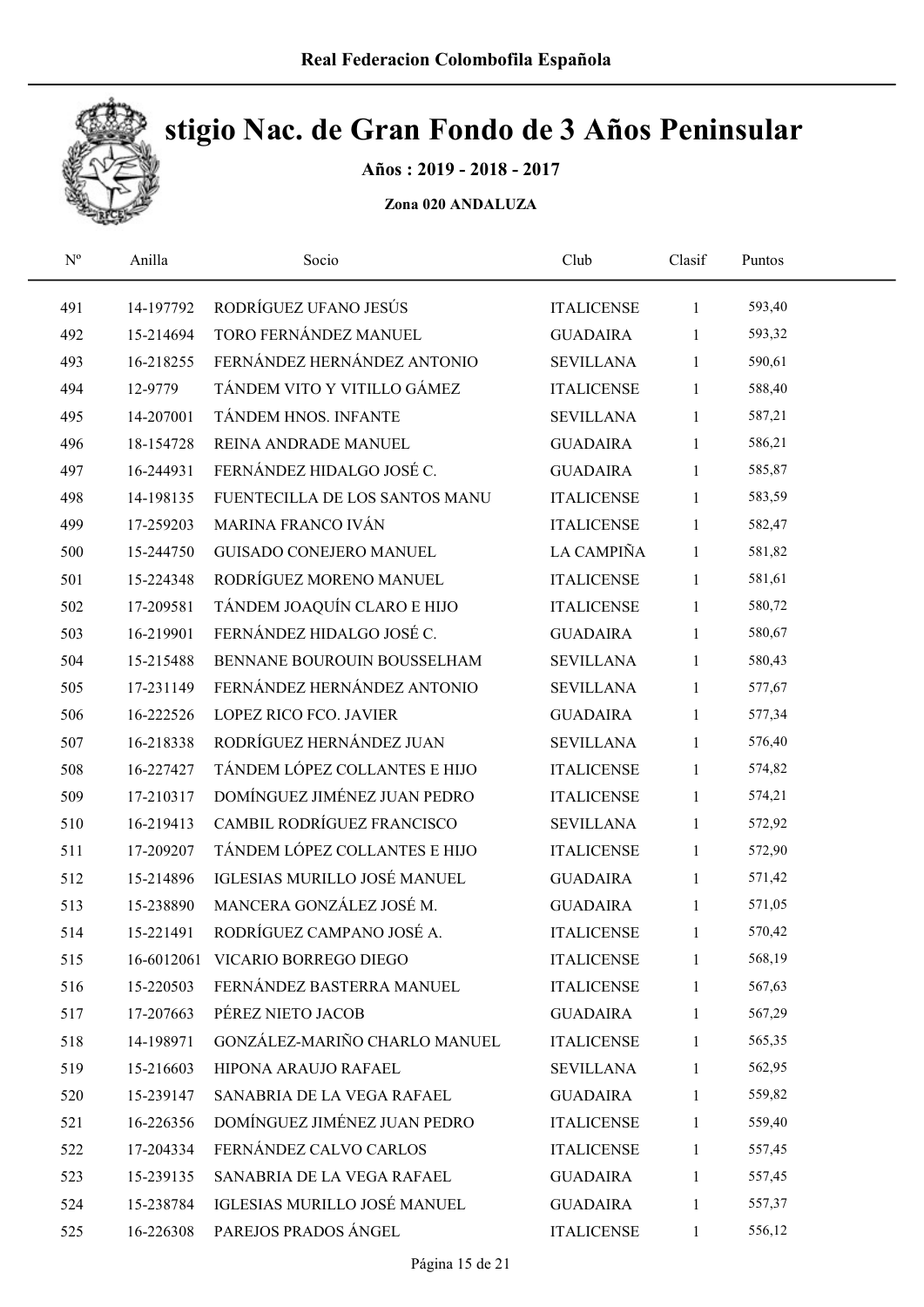

Años : 2019 - 2018 - 2017

| $\mathbf{N}^{\text{o}}$ | Anilla    | Socio                            | Club              | Clasif       | Puntos |  |
|-------------------------|-----------|----------------------------------|-------------------|--------------|--------|--|
| 491                     | 14-197792 | RODRÍGUEZ UFANO JESÚS            | <b>ITALICENSE</b> | $\mathbf{1}$ | 593,40 |  |
| 492                     | 15-214694 | TORO FERNÁNDEZ MANUEL            | <b>GUADAIRA</b>   | 1            | 593,32 |  |
| 493                     | 16-218255 | FERNÁNDEZ HERNÁNDEZ ANTONIO      | <b>SEVILLANA</b>  | 1            | 590,61 |  |
| 494                     | 12-9779   | TÁNDEM VITO Y VITILLO GÁMEZ      | <b>ITALICENSE</b> | 1            | 588,40 |  |
| 495                     | 14-207001 | TÁNDEM HNOS. INFANTE             | <b>SEVILLANA</b>  | $\mathbf{1}$ | 587,21 |  |
| 496                     | 18-154728 | REINA ANDRADE MANUEL             | <b>GUADAIRA</b>   | 1            | 586,21 |  |
| 497                     | 16-244931 | FERNÁNDEZ HIDALGO JOSÉ C.        | <b>GUADAIRA</b>   | $\mathbf{1}$ | 585,87 |  |
| 498                     | 14-198135 | FUENTECILLA DE LOS SANTOS MANU   | <b>ITALICENSE</b> | $\mathbf{1}$ | 583,59 |  |
| 499                     | 17-259203 | MARINA FRANCO IVÁN               | <b>ITALICENSE</b> | 1            | 582,47 |  |
| 500                     | 15-244750 | <b>GUISADO CONEJERO MANUEL</b>   | LA CAMPIÑA        | $\mathbf{1}$ | 581,82 |  |
| 501                     | 15-224348 | RODRÍGUEZ MORENO MANUEL          | <b>ITALICENSE</b> | $\mathbf{1}$ | 581,61 |  |
| 502                     | 17-209581 | TÁNDEM JOAQUÍN CLARO E HIJO      | <b>ITALICENSE</b> | 1            | 580,72 |  |
| 503                     | 16-219901 | FERNÁNDEZ HIDALGO JOSÉ C.        | <b>GUADAIRA</b>   | 1            | 580,67 |  |
| 504                     | 15-215488 | BENNANE BOUROUIN BOUSSELHAM      | <b>SEVILLANA</b>  | 1            | 580,43 |  |
| 505                     | 17-231149 | FERNÁNDEZ HERNÁNDEZ ANTONIO      | <b>SEVILLANA</b>  | 1            | 577,67 |  |
| 506                     | 16-222526 | LOPEZ RICO FCO. JAVIER           | <b>GUADAIRA</b>   | 1            | 577,34 |  |
| 507                     | 16-218338 | RODRÍGUEZ HERNÁNDEZ JUAN         | <b>SEVILLANA</b>  | $\mathbf{1}$ | 576,40 |  |
| 508                     | 16-227427 | TÁNDEM LÓPEZ COLLANTES E HIJO    | <b>ITALICENSE</b> | $\mathbf{1}$ | 574,82 |  |
| 509                     | 17-210317 | DOMÍNGUEZ JIMÉNEZ JUAN PEDRO     | <b>ITALICENSE</b> | 1            | 574,21 |  |
| 510                     | 16-219413 | CAMBIL RODRÍGUEZ FRANCISCO       | <b>SEVILLANA</b>  | $\mathbf{1}$ | 572,92 |  |
| 511                     | 17-209207 | TÁNDEM LÓPEZ COLLANTES E HIJO    | <b>ITALICENSE</b> | $\mathbf{1}$ | 572,90 |  |
| 512                     | 15-214896 | IGLESIAS MURILLO JOSÉ MANUEL     | <b>GUADAIRA</b>   | $\mathbf{1}$ | 571,42 |  |
| 513                     | 15-238890 | MANCERA GONZÁLEZ JOSÉ M.         | <b>GUADAIRA</b>   | $\mathbf{1}$ | 571,05 |  |
| 514                     | 15-221491 | RODRÍGUEZ CAMPANO JOSÉ A.        | <b>ITALICENSE</b> | $\mathbf{1}$ | 570,42 |  |
| 515                     |           | 16-6012061 VICARIO BORREGO DIEGO | <b>ITALICENSE</b> | 1            | 568,19 |  |
| 516                     | 15-220503 | FERNÁNDEZ BASTERRA MANUEL        | <b>ITALICENSE</b> | 1            | 567,63 |  |
| 517                     | 17-207663 | PÉREZ NIETO JACOB                | <b>GUADAIRA</b>   | 1            | 567,29 |  |
| 518                     | 14-198971 | GONZÁLEZ-MARIÑO CHARLO MANUEL    | <b>ITALICENSE</b> | 1            | 565,35 |  |
| 519                     | 15-216603 | HIPONA ARAUJO RAFAEL             | <b>SEVILLANA</b>  | 1            | 562,95 |  |
| 520                     | 15-239147 | SANABRIA DE LA VEGA RAFAEL       | <b>GUADAIRA</b>   | $\mathbf{1}$ | 559,82 |  |
| 521                     | 16-226356 | DOMÍNGUEZ JIMÉNEZ JUAN PEDRO     | <b>ITALICENSE</b> | 1            | 559,40 |  |
| 522                     | 17-204334 | FERNÁNDEZ CALVO CARLOS           | <b>ITALICENSE</b> | 1            | 557,45 |  |
| 523                     | 15-239135 | SANABRIA DE LA VEGA RAFAEL       | <b>GUADAIRA</b>   | 1            | 557,45 |  |
| 524                     | 15-238784 | IGLESIAS MURILLO JOSÉ MANUEL     | <b>GUADAIRA</b>   | 1            | 557,37 |  |
| 525                     | 16-226308 | PAREJOS PRADOS ÁNGEL             | <b>ITALICENSE</b> | $\mathbf{1}$ | 556,12 |  |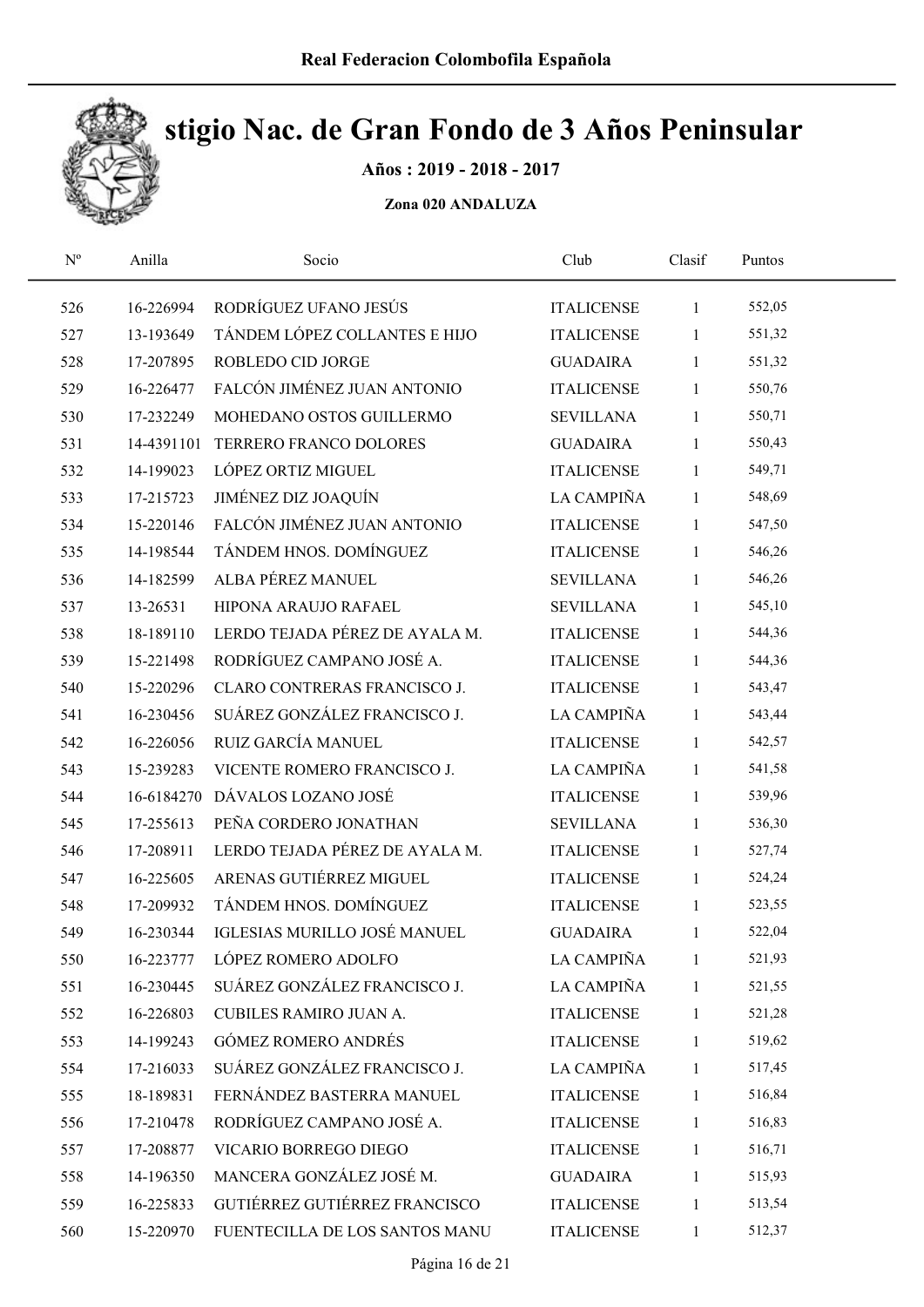

Años : 2019 - 2018 - 2017

| $\mathbf{N}^{\text{o}}$ | Anilla     | Socio                             | Club              | Clasif       | Puntos |  |
|-------------------------|------------|-----------------------------------|-------------------|--------------|--------|--|
| 526                     | 16-226994  | RODRÍGUEZ UFANO JESÚS             | <b>ITALICENSE</b> | $\mathbf{1}$ | 552,05 |  |
| 527                     | 13-193649  | TÁNDEM LÓPEZ COLLANTES E HIJO     | <b>ITALICENSE</b> | $\mathbf{1}$ | 551,32 |  |
| 528                     | 17-207895  | ROBLEDO CID JORGE                 | <b>GUADAIRA</b>   | $\mathbf{1}$ | 551,32 |  |
| 529                     | 16-226477  | FALCÓN JIMÉNEZ JUAN ANTONIO       | <b>ITALICENSE</b> | 1            | 550,76 |  |
| 530                     | 17-232249  | MOHEDANO OSTOS GUILLERMO          | <b>SEVILLANA</b>  | $\mathbf{1}$ | 550,71 |  |
| 531                     |            | 14-4391101 TERRERO FRANCO DOLORES | <b>GUADAIRA</b>   | $\mathbf{1}$ | 550,43 |  |
| 532                     | 14-199023  | LÓPEZ ORTIZ MIGUEL                | <b>ITALICENSE</b> | $\mathbf{1}$ | 549,71 |  |
| 533                     | 17-215723  | JIMÉNEZ DIZ JOAQUÍN               | LA CAMPIÑA        | $\mathbf{1}$ | 548,69 |  |
| 534                     | 15-220146  | FALCÓN JIMÉNEZ JUAN ANTONIO       | <b>ITALICENSE</b> | $\mathbf{1}$ | 547,50 |  |
| 535                     | 14-198544  | TÁNDEM HNOS. DOMÍNGUEZ            | <b>ITALICENSE</b> | $\mathbf{1}$ | 546,26 |  |
| 536                     | 14-182599  | ALBA PÉREZ MANUEL                 | <b>SEVILLANA</b>  | $\mathbf{1}$ | 546,26 |  |
| 537                     | 13-26531   | HIPONA ARAUJO RAFAEL              | <b>SEVILLANA</b>  | $\mathbf{1}$ | 545,10 |  |
| 538                     | 18-189110  | LERDO TEJADA PÉREZ DE AYALA M.    | <b>ITALICENSE</b> | 1            | 544,36 |  |
| 539                     | 15-221498  | RODRÍGUEZ CAMPANO JOSÉ A.         | <b>ITALICENSE</b> | $\mathbf{1}$ | 544,36 |  |
| 540                     | 15-220296  | CLARO CONTRERAS FRANCISCO J.      | <b>ITALICENSE</b> | 1            | 543,47 |  |
| 541                     | 16-230456  | SUÁREZ GONZÁLEZ FRANCISCO J.      | LA CAMPIÑA        | $\mathbf{1}$ | 543,44 |  |
| 542                     | 16-226056  | RUIZ GARCÍA MANUEL                | <b>ITALICENSE</b> | $\mathbf{1}$ | 542,57 |  |
| 543                     | 15-239283  | VICENTE ROMERO FRANCISCO J.       | LA CAMPIÑA        | $\mathbf{1}$ | 541,58 |  |
| 544                     | 16-6184270 | DÁVALOS LOZANO JOSÉ               | <b>ITALICENSE</b> | $\mathbf{1}$ | 539,96 |  |
| 545                     | 17-255613  | PEÑA CORDERO JONATHAN             | <b>SEVILLANA</b>  | $\mathbf{1}$ | 536,30 |  |
| 546                     | 17-208911  | LERDO TEJADA PÉREZ DE AYALA M.    | <b>ITALICENSE</b> | $\mathbf{1}$ | 527,74 |  |
| 547                     | 16-225605  | ARENAS GUTIÉRREZ MIGUEL           | <b>ITALICENSE</b> | $\mathbf{1}$ | 524,24 |  |
| 548                     | 17-209932  | TÁNDEM HNOS. DOMÍNGUEZ            | <b>ITALICENSE</b> | $\mathbf{1}$ | 523,55 |  |
| 549                     | 16-230344  | IGLESIAS MURILLO JOSÉ MANUEL      | <b>GUADAIRA</b>   | 1            | 522,04 |  |
| 550                     | 16-223777  | LÓPEZ ROMERO ADOLFO               | LA CAMPIÑA        | 1            | 521,93 |  |
| 551                     | 16-230445  | SUÁREZ GONZÁLEZ FRANCISCO J.      | LA CAMPIÑA        | $\mathbf{1}$ | 521,55 |  |
| 552                     | 16-226803  | CUBILES RAMIRO JUAN A.            | <b>ITALICENSE</b> | 1            | 521,28 |  |
| 553                     | 14-199243  | <b>GÓMEZ ROMERO ANDRÉS</b>        | <b>ITALICENSE</b> | 1            | 519,62 |  |
| 554                     | 17-216033  | SUÁREZ GONZÁLEZ FRANCISCO J.      | LA CAMPIÑA        | 1            | 517,45 |  |
| 555                     | 18-189831  | FERNÁNDEZ BASTERRA MANUEL         | <b>ITALICENSE</b> | $\mathbf{1}$ | 516,84 |  |
| 556                     | 17-210478  | RODRÍGUEZ CAMPANO JOSÉ A.         | <b>ITALICENSE</b> | 1            | 516,83 |  |
| 557                     | 17-208877  | VICARIO BORREGO DIEGO             | <b>ITALICENSE</b> | 1            | 516,71 |  |
| 558                     | 14-196350  | MANCERA GONZÁLEZ JOSÉ M.          | <b>GUADAIRA</b>   | 1            | 515,93 |  |
| 559                     | 16-225833  | GUTIÉRREZ GUTIÉRREZ FRANCISCO     | <b>ITALICENSE</b> | 1            | 513,54 |  |
| 560                     | 15-220970  | FUENTECILLA DE LOS SANTOS MANU    | <b>ITALICENSE</b> | $\mathbf{1}$ | 512,37 |  |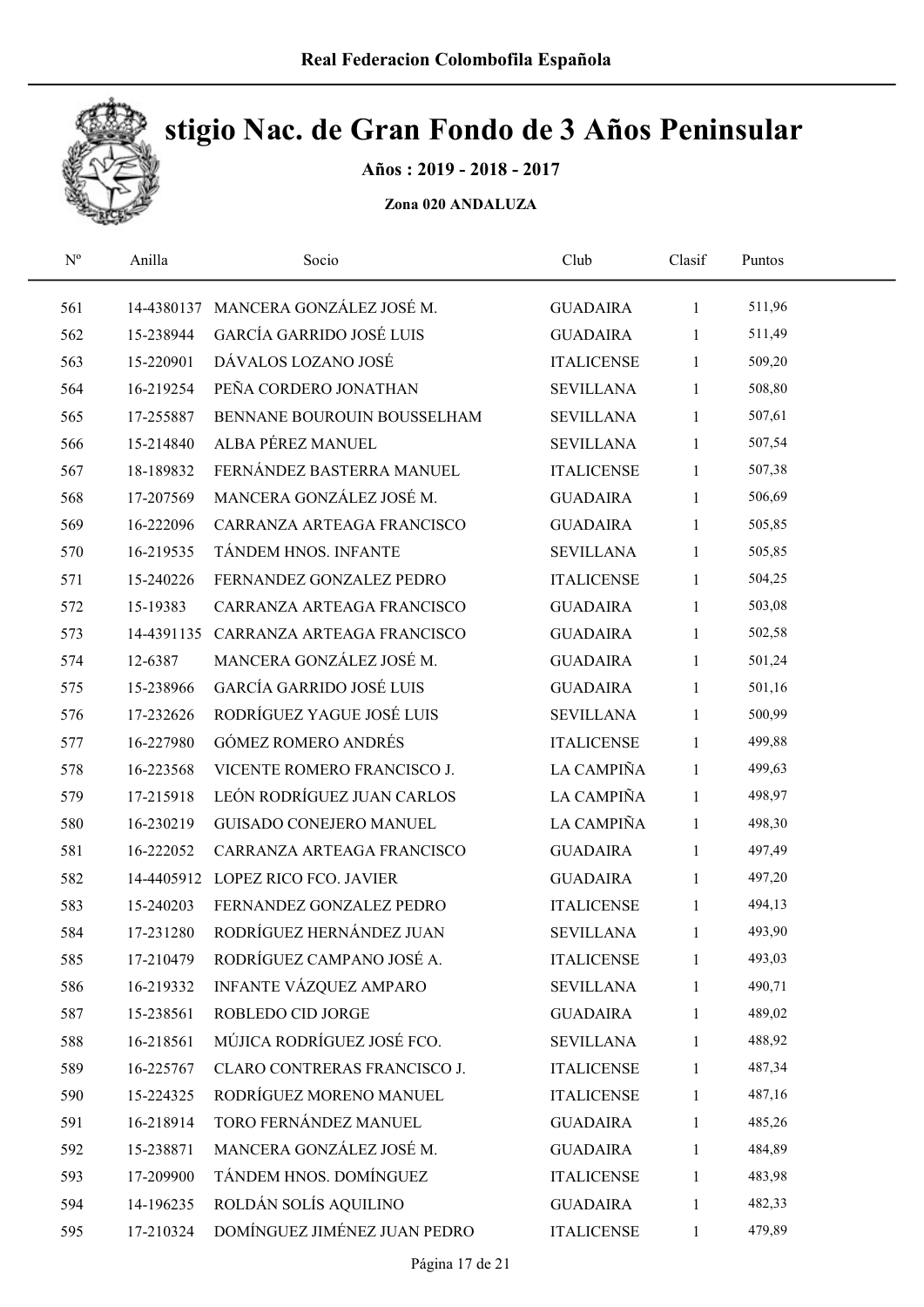

Años : 2019 - 2018 - 2017

| $\mathbf{N}^{\text{o}}$ | Anilla    | Socio                                 | Club              | Clasif       | Puntos |  |
|-------------------------|-----------|---------------------------------------|-------------------|--------------|--------|--|
| 561                     |           | 14-4380137 MANCERA GONZÁLEZ JOSÉ M.   | <b>GUADAIRA</b>   | $\mathbf{1}$ | 511,96 |  |
| 562                     | 15-238944 | <b>GARCÍA GARRIDO JOSÉ LUIS</b>       | <b>GUADAIRA</b>   | $\mathbf{1}$ | 511,49 |  |
| 563                     | 15-220901 | DÁVALOS LOZANO JOSÉ                   | <b>ITALICENSE</b> | 1            | 509,20 |  |
| 564                     | 16-219254 | PEÑA CORDERO JONATHAN                 | <b>SEVILLANA</b>  | 1            | 508,80 |  |
| 565                     | 17-255887 | BENNANE BOUROUIN BOUSSELHAM           | <b>SEVILLANA</b>  | 1            | 507,61 |  |
| 566                     | 15-214840 | ALBA PÉREZ MANUEL                     | <b>SEVILLANA</b>  | $\mathbf{1}$ | 507,54 |  |
| 567                     | 18-189832 | FERNÁNDEZ BASTERRA MANUEL             | <b>ITALICENSE</b> | $\mathbf{1}$ | 507,38 |  |
| 568                     | 17-207569 | MANCERA GONZÁLEZ JOSÉ M.              | <b>GUADAIRA</b>   | $\mathbf{1}$ | 506,69 |  |
| 569                     | 16-222096 | CARRANZA ARTEAGA FRANCISCO            | <b>GUADAIRA</b>   | 1            | 505,85 |  |
| 570                     | 16-219535 | TÁNDEM HNOS. INFANTE                  | <b>SEVILLANA</b>  | 1            | 505,85 |  |
| 571                     | 15-240226 | FERNANDEZ GONZALEZ PEDRO              | <b>ITALICENSE</b> | 1            | 504,25 |  |
| 572                     | 15-19383  | CARRANZA ARTEAGA FRANCISCO            | <b>GUADAIRA</b>   | $\mathbf{1}$ | 503,08 |  |
| 573                     |           | 14-4391135 CARRANZA ARTEAGA FRANCISCO | <b>GUADAIRA</b>   | $\mathbf{1}$ | 502,58 |  |
| 574                     | 12-6387   | MANCERA GONZÁLEZ JOSÉ M.              | <b>GUADAIRA</b>   | $\mathbf{1}$ | 501,24 |  |
| 575                     | 15-238966 | <b>GARCÍA GARRIDO JOSÉ LUIS</b>       | <b>GUADAIRA</b>   | 1            | 501,16 |  |
| 576                     | 17-232626 | RODRÍGUEZ YAGUE JOSÉ LUIS             | <b>SEVILLANA</b>  | 1            | 500,99 |  |
| 577                     | 16-227980 | <b>GÓMEZ ROMERO ANDRÉS</b>            | <b>ITALICENSE</b> | 1            | 499,88 |  |
| 578                     | 16-223568 | VICENTE ROMERO FRANCISCO J.           | LA CAMPIÑA        | $\mathbf{1}$ | 499,63 |  |
| 579                     | 17-215918 | LEÓN RODRÍGUEZ JUAN CARLOS            | LA CAMPIÑA        | 1            | 498,97 |  |
| 580                     | 16-230219 | <b>GUISADO CONEJERO MANUEL</b>        | LA CAMPIÑA        | 1            | 498,30 |  |
| 581                     | 16-222052 | CARRANZA ARTEAGA FRANCISCO            | <b>GUADAIRA</b>   | 1            | 497,49 |  |
| 582                     |           | 14-4405912 LOPEZ RICO FCO. JAVIER     | <b>GUADAIRA</b>   | 1            | 497,20 |  |
| 583                     | 15-240203 | FERNANDEZ GONZALEZ PEDRO              | <b>ITALICENSE</b> | 1            | 494,13 |  |
| 584                     | 17-231280 | RODRÍGUEZ HERNÁNDEZ JUAN              | <b>SEVILLANA</b>  | $\mathbf{1}$ | 493,90 |  |
| 585                     | 17-210479 | RODRÍGUEZ CAMPANO JOSÉ A.             | <b>ITALICENSE</b> | 1            | 493,03 |  |
| 586                     | 16-219332 | INFANTE VÁZQUEZ AMPARO                | <b>SEVILLANA</b>  | 1            | 490,71 |  |
| 587                     | 15-238561 | ROBLEDO CID JORGE                     | <b>GUADAIRA</b>   | 1            | 489,02 |  |
| 588                     | 16-218561 | MÚJICA RODRÍGUEZ JOSÉ FCO.            | <b>SEVILLANA</b>  | 1            | 488,92 |  |
| 589                     | 16-225767 | CLARO CONTRERAS FRANCISCO J.          | <b>ITALICENSE</b> | 1            | 487,34 |  |
| 590                     | 15-224325 | RODRÍGUEZ MORENO MANUEL               | <b>ITALICENSE</b> | 1            | 487,16 |  |
| 591                     | 16-218914 | TORO FERNÁNDEZ MANUEL                 | <b>GUADAIRA</b>   | 1            | 485,26 |  |
| 592                     | 15-238871 | MANCERA GONZÁLEZ JOSÉ M.              | <b>GUADAIRA</b>   | 1            | 484,89 |  |
| 593                     | 17-209900 | TÁNDEM HNOS. DOMÍNGUEZ                | <b>ITALICENSE</b> | 1            | 483,98 |  |
| 594                     | 14-196235 | ROLDÁN SOLÍS AQUILINO                 | <b>GUADAIRA</b>   | 1            | 482,33 |  |
| 595                     | 17-210324 | DOMÍNGUEZ JIMÉNEZ JUAN PEDRO          | <b>ITALICENSE</b> | $\mathbf{1}$ | 479,89 |  |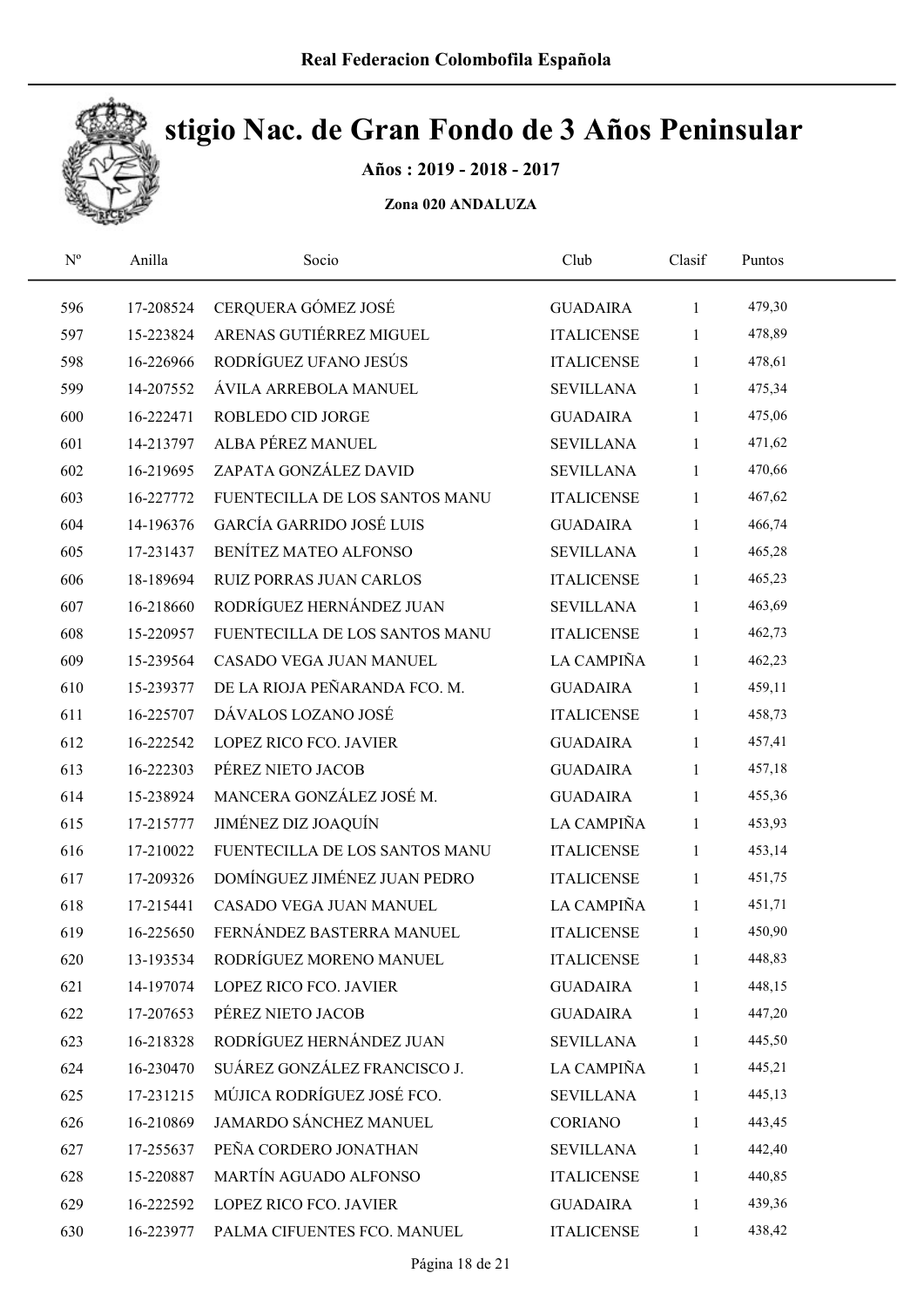

Años : 2019 - 2018 - 2017

| $\mathbf{N}^{\mathrm{o}}$ | Anilla    | Socio                           | Club              | Clasif       | Puntos |  |
|---------------------------|-----------|---------------------------------|-------------------|--------------|--------|--|
| 596                       | 17-208524 | CERQUERA GÓMEZ JOSÉ             | <b>GUADAIRA</b>   | $\mathbf{1}$ | 479,30 |  |
| 597                       | 15-223824 | ARENAS GUTIÉRREZ MIGUEL         | <b>ITALICENSE</b> | 1            | 478,89 |  |
| 598                       | 16-226966 | RODRÍGUEZ UFANO JESÚS           | <b>ITALICENSE</b> | 1            | 478,61 |  |
| 599                       | 14-207552 | ÁVILA ARREBOLA MANUEL           | <b>SEVILLANA</b>  | 1            | 475,34 |  |
| 600                       | 16-222471 | ROBLEDO CID JORGE               | <b>GUADAIRA</b>   | $\mathbf{1}$ | 475,06 |  |
| 601                       | 14-213797 | ALBA PÉREZ MANUEL               | <b>SEVILLANA</b>  | $\mathbf{1}$ | 471,62 |  |
| 602                       | 16-219695 | ZAPATA GONZÁLEZ DAVID           | <b>SEVILLANA</b>  | $\mathbf{1}$ | 470,66 |  |
| 603                       | 16-227772 | FUENTECILLA DE LOS SANTOS MANU  | <b>ITALICENSE</b> | $\mathbf{1}$ | 467,62 |  |
| 604                       | 14-196376 | <b>GARCÍA GARRIDO JOSÉ LUIS</b> | <b>GUADAIRA</b>   | 1            | 466,74 |  |
| 605                       | 17-231437 | BENÍTEZ MATEO ALFONSO           | <b>SEVILLANA</b>  | $\mathbf{1}$ | 465,28 |  |
| 606                       | 18-189694 | <b>RUIZ PORRAS JUAN CARLOS</b>  | <b>ITALICENSE</b> | $\mathbf{1}$ | 465,23 |  |
| 607                       | 16-218660 | RODRÍGUEZ HERNÁNDEZ JUAN        | <b>SEVILLANA</b>  | 1            | 463,69 |  |
| 608                       | 15-220957 | FUENTECILLA DE LOS SANTOS MANU  | <b>ITALICENSE</b> | 1            | 462,73 |  |
| 609                       | 15-239564 | CASADO VEGA JUAN MANUEL         | LA CAMPIÑA        | 1            | 462,23 |  |
| 610                       | 15-239377 | DE LA RIOJA PEÑARANDA FCO. M.   | <b>GUADAIRA</b>   | 1            | 459,11 |  |
| 611                       | 16-225707 | DÁVALOS LOZANO JOSÉ             | <b>ITALICENSE</b> | $\mathbf{1}$ | 458,73 |  |
| 612                       | 16-222542 | LOPEZ RICO FCO. JAVIER          | <b>GUADAIRA</b>   | $\mathbf{1}$ | 457,41 |  |
| 613                       | 16-222303 | PÉREZ NIETO JACOB               | <b>GUADAIRA</b>   | $\mathbf{1}$ | 457,18 |  |
| 614                       | 15-238924 | MANCERA GONZÁLEZ JOSÉ M.        | <b>GUADAIRA</b>   | $\mathbf{1}$ | 455,36 |  |
| 615                       | 17-215777 | JIMÉNEZ DIZ JOAQUÍN             | LA CAMPIÑA        | $\mathbf{1}$ | 453,93 |  |
| 616                       | 17-210022 | FUENTECILLA DE LOS SANTOS MANU  | <b>ITALICENSE</b> | $\mathbf{1}$ | 453,14 |  |
| 617                       | 17-209326 | DOMÍNGUEZ JIMÉNEZ JUAN PEDRO    | <b>ITALICENSE</b> | $\mathbf{1}$ | 451,75 |  |
| 618                       | 17-215441 | CASADO VEGA JUAN MANUEL         | LA CAMPIÑA        | $\mathbf{1}$ | 451,71 |  |
| 619                       | 16-225650 | FERNÁNDEZ BASTERRA MANUEL       | <b>ITALICENSE</b> | $\mathbf{1}$ | 450,90 |  |
| 620                       | 13-193534 | RODRÍGUEZ MORENO MANUEL         | <b>ITALICENSE</b> | 1            | 448,83 |  |
| 621                       | 14-197074 | LOPEZ RICO FCO. JAVIER          | <b>GUADAIRA</b>   | 1            | 448,15 |  |
| 622                       | 17-207653 | PÉREZ NIETO JACOB               | <b>GUADAIRA</b>   | 1            | 447,20 |  |
| 623                       | 16-218328 | RODRÍGUEZ HERNÁNDEZ JUAN        | <b>SEVILLANA</b>  | $\mathbf{1}$ | 445,50 |  |
| 624                       | 16-230470 | SUÁREZ GONZÁLEZ FRANCISCO J.    | LA CAMPIÑA        | $\mathbf{1}$ | 445,21 |  |
| 625                       | 17-231215 | MÚJICA RODRÍGUEZ JOSÉ FCO.      | <b>SEVILLANA</b>  | $\mathbf{1}$ | 445,13 |  |
| 626                       | 16-210869 | <b>JAMARDO SÁNCHEZ MANUEL</b>   | CORIANO           | 1            | 443,45 |  |
| 627                       | 17-255637 | PEÑA CORDERO JONATHAN           | <b>SEVILLANA</b>  | 1            | 442,40 |  |
| 628                       | 15-220887 | MARTÍN AGUADO ALFONSO           | <b>ITALICENSE</b> | 1            | 440,85 |  |
| 629                       | 16-222592 | LOPEZ RICO FCO. JAVIER          | <b>GUADAIRA</b>   | 1            | 439,36 |  |
| 630                       | 16-223977 | PALMA CIFUENTES FCO. MANUEL     | <b>ITALICENSE</b> | $\mathbf{1}$ | 438,42 |  |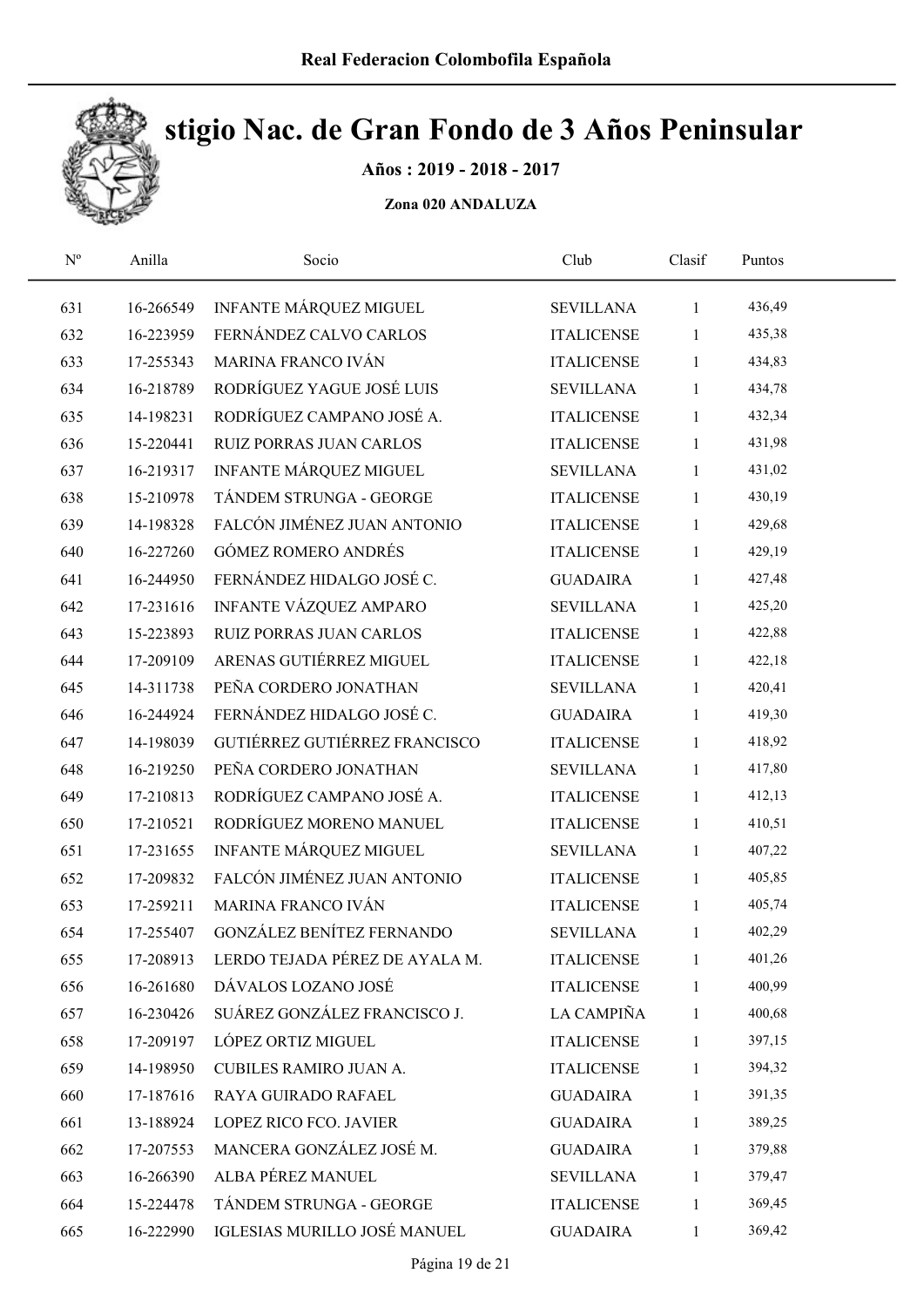

Años : 2019 - 2018 - 2017

| $\mathrm{N}^{\rm o}$ | Anilla    | Socio                          | Club              | Clasif       | Puntos |  |
|----------------------|-----------|--------------------------------|-------------------|--------------|--------|--|
| 631                  | 16-266549 | INFANTE MÁRQUEZ MIGUEL         | <b>SEVILLANA</b>  | $\mathbf{1}$ | 436,49 |  |
| 632                  | 16-223959 | FERNÁNDEZ CALVO CARLOS         | <b>ITALICENSE</b> | $\mathbf{1}$ | 435,38 |  |
| 633                  | 17-255343 | MARINA FRANCO IVÁN             | <b>ITALICENSE</b> | $\mathbf{1}$ | 434,83 |  |
| 634                  | 16-218789 | RODRÍGUEZ YAGUE JOSÉ LUIS      | <b>SEVILLANA</b>  | $\mathbf{1}$ | 434,78 |  |
| 635                  | 14-198231 | RODRÍGUEZ CAMPANO JOSÉ A.      | <b>ITALICENSE</b> | $\mathbf{1}$ | 432,34 |  |
| 636                  | 15-220441 | RUIZ PORRAS JUAN CARLOS        | <b>ITALICENSE</b> | $\mathbf{1}$ | 431,98 |  |
| 637                  | 16-219317 | <b>INFANTE MÁRQUEZ MIGUEL</b>  | <b>SEVILLANA</b>  | $\mathbf{1}$ | 431,02 |  |
| 638                  | 15-210978 | TÁNDEM STRUNGA - GEORGE        | <b>ITALICENSE</b> | $\mathbf{1}$ | 430,19 |  |
| 639                  | 14-198328 | FALCÓN JIMÉNEZ JUAN ANTONIO    | <b>ITALICENSE</b> | $\mathbf{1}$ | 429,68 |  |
| 640                  | 16-227260 | <b>GÓMEZ ROMERO ANDRÉS</b>     | <b>ITALICENSE</b> | $\mathbf{1}$ | 429,19 |  |
| 641                  | 16-244950 | FERNÁNDEZ HIDALGO JOSÉ C.      | <b>GUADAIRA</b>   | $\mathbf{1}$ | 427,48 |  |
| 642                  | 17-231616 | INFANTE VÁZQUEZ AMPARO         | <b>SEVILLANA</b>  | $\mathbf{1}$ | 425,20 |  |
| 643                  | 15-223893 | <b>RUIZ PORRAS JUAN CARLOS</b> | <b>ITALICENSE</b> | $\mathbf{1}$ | 422,88 |  |
| 644                  | 17-209109 | ARENAS GUTIÉRREZ MIGUEL        | <b>ITALICENSE</b> | $\mathbf{1}$ | 422,18 |  |
| 645                  | 14-311738 | PEÑA CORDERO JONATHAN          | <b>SEVILLANA</b>  | 1            | 420,41 |  |
| 646                  | 16-244924 | FERNÁNDEZ HIDALGO JOSÉ C.      | <b>GUADAIRA</b>   | $\mathbf{1}$ | 419,30 |  |
| 647                  | 14-198039 | GUTIÉRREZ GUTIÉRREZ FRANCISCO  | <b>ITALICENSE</b> | $\mathbf{1}$ | 418,92 |  |
| 648                  | 16-219250 | PEÑA CORDERO JONATHAN          | <b>SEVILLANA</b>  | $\mathbf{1}$ | 417,80 |  |
| 649                  | 17-210813 | RODRÍGUEZ CAMPANO JOSÉ A.      | <b>ITALICENSE</b> | $\mathbf{1}$ | 412,13 |  |
| 650                  | 17-210521 | RODRÍGUEZ MORENO MANUEL        | <b>ITALICENSE</b> | $\mathbf{1}$ | 410,51 |  |
| 651                  | 17-231655 | INFANTE MÁRQUEZ MIGUEL         | <b>SEVILLANA</b>  | $\mathbf{1}$ | 407,22 |  |
| 652                  | 17-209832 | FALCÓN JIMÉNEZ JUAN ANTONIO    | <b>ITALICENSE</b> | $\mathbf{1}$ | 405,85 |  |
| 653                  | 17-259211 | MARINA FRANCO IVÁN             | <b>ITALICENSE</b> | $\mathbf{1}$ | 405,74 |  |
| 654                  | 17-255407 | GONZÁLEZ BENÍTEZ FERNANDO      | <b>SEVILLANA</b>  | $\mathbf{1}$ | 402,29 |  |
| 655                  | 17-208913 | LERDO TEJADA PÉREZ DE AYALA M. | <b>ITALICENSE</b> | 1            | 401,26 |  |
| 656                  | 16-261680 | DÁVALOS LOZANO JOSÉ            | <b>ITALICENSE</b> | 1            | 400,99 |  |
| 657                  | 16-230426 | SUÁREZ GONZÁLEZ FRANCISCO J.   | LA CAMPIÑA        | 1            | 400,68 |  |
| 658                  | 17-209197 | LÓPEZ ORTIZ MIGUEL             | <b>ITALICENSE</b> | 1            | 397,15 |  |
| 659                  | 14-198950 | <b>CUBILES RAMIRO JUAN A.</b>  | <b>ITALICENSE</b> | 1            | 394,32 |  |
| 660                  | 17-187616 | RAYA GUIRADO RAFAEL            | <b>GUADAIRA</b>   | $\mathbf{1}$ | 391,35 |  |
| 661                  | 13-188924 | LOPEZ RICO FCO. JAVIER         | <b>GUADAIRA</b>   | 1            | 389,25 |  |
| 662                  | 17-207553 | MANCERA GONZÁLEZ JOSÉ M.       | <b>GUADAIRA</b>   | 1            | 379,88 |  |
| 663                  | 16-266390 | ALBA PÉREZ MANUEL              | <b>SEVILLANA</b>  | 1            | 379,47 |  |
| 664                  | 15-224478 | TÁNDEM STRUNGA - GEORGE        | <b>ITALICENSE</b> | 1            | 369,45 |  |
| 665                  | 16-222990 | IGLESIAS MURILLO JOSÉ MANUEL   | <b>GUADAIRA</b>   | $\mathbf{1}$ | 369,42 |  |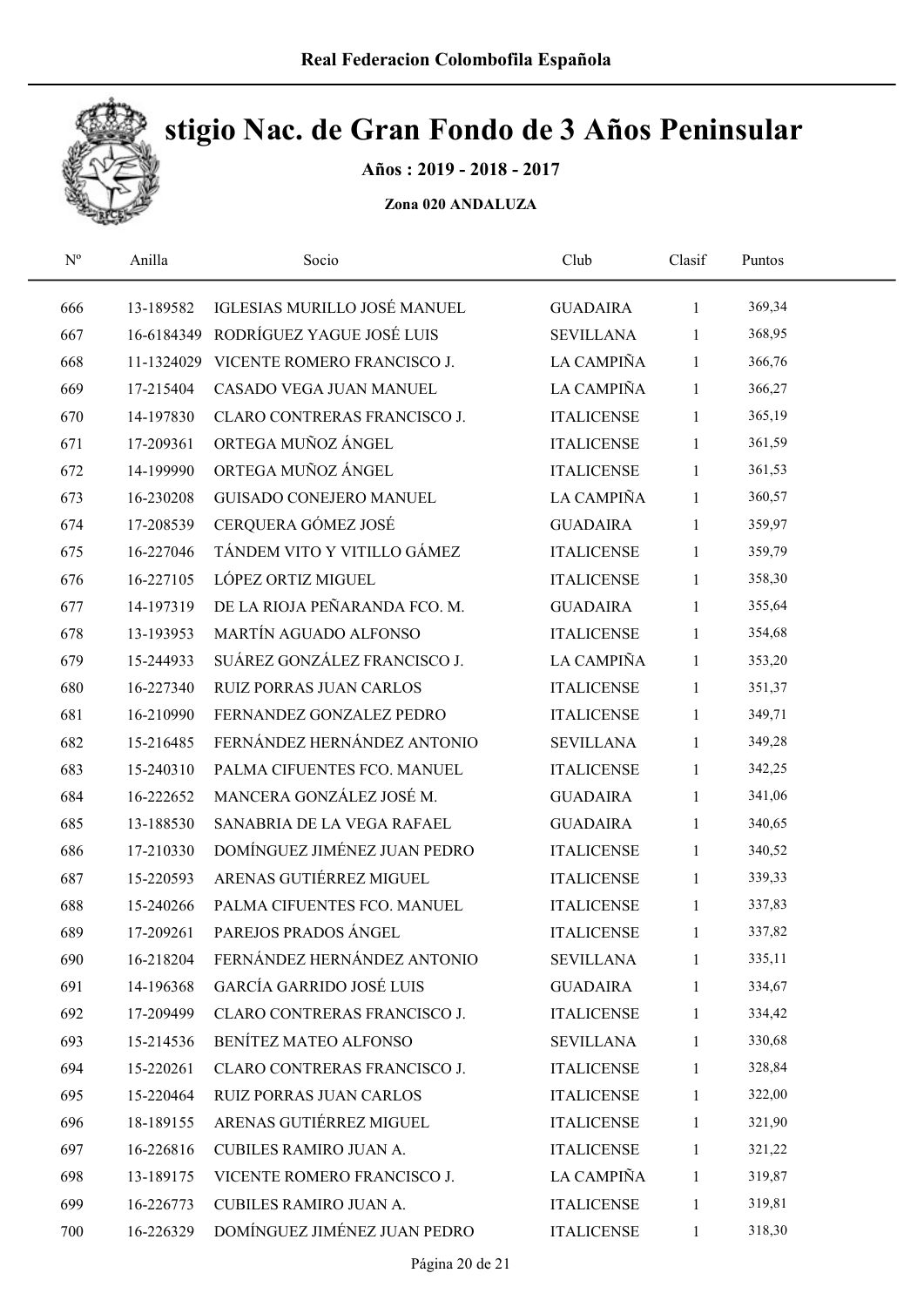

Años : 2019 - 2018 - 2017

| $\mathbf{N}^{\text{o}}$ | Anilla    | Socio                                  | Club              | Clasif       | Puntos |  |
|-------------------------|-----------|----------------------------------------|-------------------|--------------|--------|--|
| 666                     | 13-189582 | IGLESIAS MURILLO JOSÉ MANUEL           | <b>GUADAIRA</b>   | $\mathbf{1}$ | 369,34 |  |
| 667                     |           | 16-6184349 RODRÍGUEZ YAGUE JOSÉ LUIS   | <b>SEVILLANA</b>  | $\mathbf{1}$ | 368,95 |  |
| 668                     |           | 11-1324029 VICENTE ROMERO FRANCISCO J. | LA CAMPIÑA        | $\mathbf{1}$ | 366,76 |  |
| 669                     | 17-215404 | CASADO VEGA JUAN MANUEL                | LA CAMPIÑA        | $\mathbf{1}$ | 366,27 |  |
| 670                     | 14-197830 | CLARO CONTRERAS FRANCISCO J.           | <b>ITALICENSE</b> | $\mathbf{1}$ | 365,19 |  |
| 671                     | 17-209361 | ORTEGA MUÑOZ ÁNGEL                     | <b>ITALICENSE</b> | $\mathbf{1}$ | 361,59 |  |
| 672                     | 14-199990 | ORTEGA MUÑOZ ÁNGEL                     | <b>ITALICENSE</b> | $\mathbf{1}$ | 361,53 |  |
| 673                     | 16-230208 | GUISADO CONEJERO MANUEL                | LA CAMPIÑA        | $\mathbf{1}$ | 360,57 |  |
| 674                     | 17-208539 | CERQUERA GÓMEZ JOSÉ                    | <b>GUADAIRA</b>   | $\mathbf{1}$ | 359,97 |  |
| 675                     | 16-227046 | TÁNDEM VITO Y VITILLO GÁMEZ            | <b>ITALICENSE</b> | $\mathbf{1}$ | 359,79 |  |
| 676                     | 16-227105 | LÓPEZ ORTIZ MIGUEL                     | <b>ITALICENSE</b> | $\mathbf{1}$ | 358,30 |  |
| 677                     | 14-197319 | DE LA RIOJA PEÑARANDA FCO. M.          | <b>GUADAIRA</b>   | $\mathbf{1}$ | 355,64 |  |
| 678                     | 13-193953 | MARTÍN AGUADO ALFONSO                  | <b>ITALICENSE</b> | $\mathbf{1}$ | 354,68 |  |
| 679                     | 15-244933 | SUÁREZ GONZÁLEZ FRANCISCO J.           | LA CAMPIÑA        | $\mathbf{1}$ | 353,20 |  |
| 680                     | 16-227340 | <b>RUIZ PORRAS JUAN CARLOS</b>         | <b>ITALICENSE</b> | $\mathbf{1}$ | 351,37 |  |
| 681                     | 16-210990 | FERNANDEZ GONZALEZ PEDRO               | <b>ITALICENSE</b> | $\mathbf{1}$ | 349,71 |  |
| 682                     | 15-216485 | FERNÁNDEZ HERNÁNDEZ ANTONIO            | <b>SEVILLANA</b>  | $\mathbf{1}$ | 349,28 |  |
| 683                     | 15-240310 | PALMA CIFUENTES FCO. MANUEL            | <b>ITALICENSE</b> | $\mathbf{1}$ | 342,25 |  |
| 684                     | 16-222652 | MANCERA GONZÁLEZ JOSÉ M.               | <b>GUADAIRA</b>   | $\mathbf{1}$ | 341,06 |  |
| 685                     | 13-188530 | SANABRIA DE LA VEGA RAFAEL             | <b>GUADAIRA</b>   | $\mathbf{1}$ | 340,65 |  |
| 686                     | 17-210330 | DOMÍNGUEZ JIMÉNEZ JUAN PEDRO           | <b>ITALICENSE</b> | $\mathbf{1}$ | 340,52 |  |
| 687                     | 15-220593 | ARENAS GUTIÉRREZ MIGUEL                | <b>ITALICENSE</b> | $\mathbf{1}$ | 339,33 |  |
| 688                     | 15-240266 | PALMA CIFUENTES FCO. MANUEL            | <b>ITALICENSE</b> | $\mathbf{1}$ | 337,83 |  |
| 689                     | 17-209261 | PAREJOS PRADOS ÁNGEL                   | <b>ITALICENSE</b> | $\mathbf{1}$ | 337,82 |  |
| 690                     | 16-218204 | FERNÁNDEZ HERNÁNDEZ ANTONIO            | <b>SEVILLANA</b>  | 1            | 335,11 |  |
| 691                     | 14-196368 | GARCÍA GARRIDO JOSÉ LUIS               | <b>GUADAIRA</b>   | $\mathbf{1}$ | 334,67 |  |
| 692                     | 17-209499 | CLARO CONTRERAS FRANCISCO J.           | <b>ITALICENSE</b> | 1            | 334,42 |  |
| 693                     | 15-214536 | BENÍTEZ MATEO ALFONSO                  | <b>SEVILLANA</b>  | 1            | 330,68 |  |
| 694                     | 15-220261 | CLARO CONTRERAS FRANCISCO J.           | <b>ITALICENSE</b> | 1            | 328,84 |  |
| 695                     | 15-220464 | RUIZ PORRAS JUAN CARLOS                | <b>ITALICENSE</b> | $\mathbf{1}$ | 322,00 |  |
| 696                     | 18-189155 | ARENAS GUTIÉRREZ MIGUEL                | <b>ITALICENSE</b> | $\mathbf{1}$ | 321,90 |  |
| 697                     | 16-226816 | CUBILES RAMIRO JUAN A.                 | <b>ITALICENSE</b> | 1            | 321,22 |  |
| 698                     | 13-189175 | VICENTE ROMERO FRANCISCO J.            | LA CAMPIÑA        | $\mathbf{1}$ | 319,87 |  |
| 699                     | 16-226773 | CUBILES RAMIRO JUAN A.                 | <b>ITALICENSE</b> | $\mathbf{1}$ | 319,81 |  |
| 700                     | 16-226329 | DOMÍNGUEZ JIMÉNEZ JUAN PEDRO           | <b>ITALICENSE</b> | $\mathbf{1}$ | 318,30 |  |
|                         |           |                                        |                   |              |        |  |